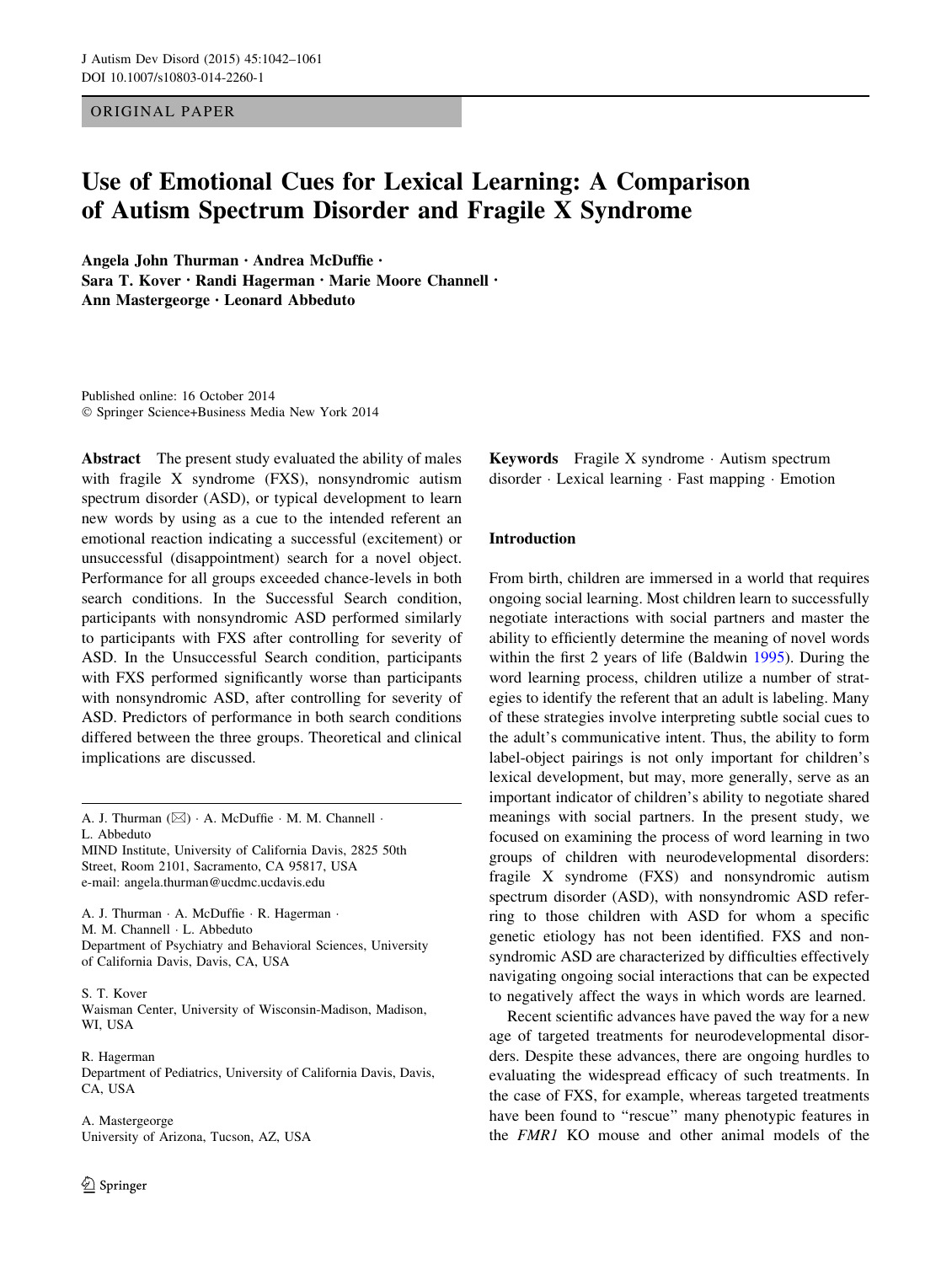ORIGINAL PAPER

# Use of Emotional Cues for Lexical Learning: A Comparison of Autism Spectrum Disorder and Fragile X Syndrome

Angela John Thurman • Andrea McDuffie • Sara T. Kover • Randi Hagerman • Marie Moore Channell • Ann Mastergeorge • Leonard Abbeduto

Published online: 16 October 2014 - Springer Science+Business Media New York 2014

Abstract The present study evaluated the ability of males with fragile X syndrome (FXS), nonsyndromic autism spectrum disorder (ASD), or typical development to learn new words by using as a cue to the intended referent an emotional reaction indicating a successful (excitement) or unsuccessful (disappointment) search for a novel object. Performance for all groups exceeded chance-levels in both search conditions. In the Successful Search condition, participants with nonsyndromic ASD performed similarly to participants with FXS after controlling for severity of ASD. In the Unsuccessful Search condition, participants with FXS performed significantly worse than participants with nonsyndromic ASD, after controlling for severity of ASD. Predictors of performance in both search conditions differed between the three groups. Theoretical and clinical implications are discussed.

A. J. Thurman  $(\boxtimes) \cdot A$ . McDuffie  $\cdot$  M. M. Channell  $\cdot$ L. Abbeduto MIND Institute, University of California Davis, 2825 50th Street, Room 2101, Sacramento, CA 95817, USA

e-mail: angela.thurman@ucdmc.ucdavis.edu

A. J. Thurman - A. McDuffie - R. Hagerman - M. M. Channell - L. Abbeduto Department of Psychiatry and Behavioral Sciences, University of California Davis, Davis, CA, USA

S. T. Kover Waisman Center, University of Wisconsin-Madison, Madison, WI, USA

R. Hagerman Department of Pediatrics, University of California Davis, Davis, CA, USA

A. Mastergeorge University of Arizona, Tucson, AZ, USA Keywords Fragile X syndrome - Autism spectrum disorder - Lexical learning - Fast mapping - Emotion

# Introduction

From birth, children are immersed in a world that requires ongoing social learning. Most children learn to successfully negotiate interactions with social partners and master the ability to efficiently determine the meaning of novel words within the first 2 years of life (Baldwin [1995](#page-17-0)). During the word learning process, children utilize a number of strategies to identify the referent that an adult is labeling. Many of these strategies involve interpreting subtle social cues to the adult's communicative intent. Thus, the ability to form label-object pairings is not only important for children's lexical development, but may, more generally, serve as an important indicator of children's ability to negotiate shared meanings with social partners. In the present study, we focused on examining the process of word learning in two groups of children with neurodevelopmental disorders: fragile X syndrome (FXS) and nonsyndromic autism spectrum disorder (ASD), with nonsyndromic ASD referring to those children with ASD for whom a specific genetic etiology has not been identified. FXS and nonsyndromic ASD are characterized by difficulties effectively navigating ongoing social interactions that can be expected to negatively affect the ways in which words are learned.

Recent scientific advances have paved the way for a new age of targeted treatments for neurodevelopmental disorders. Despite these advances, there are ongoing hurdles to evaluating the widespread efficacy of such treatments. In the case of FXS, for example, whereas targeted treatments have been found to "rescue" many phenotypic features in the FMR1 KO mouse and other animal models of the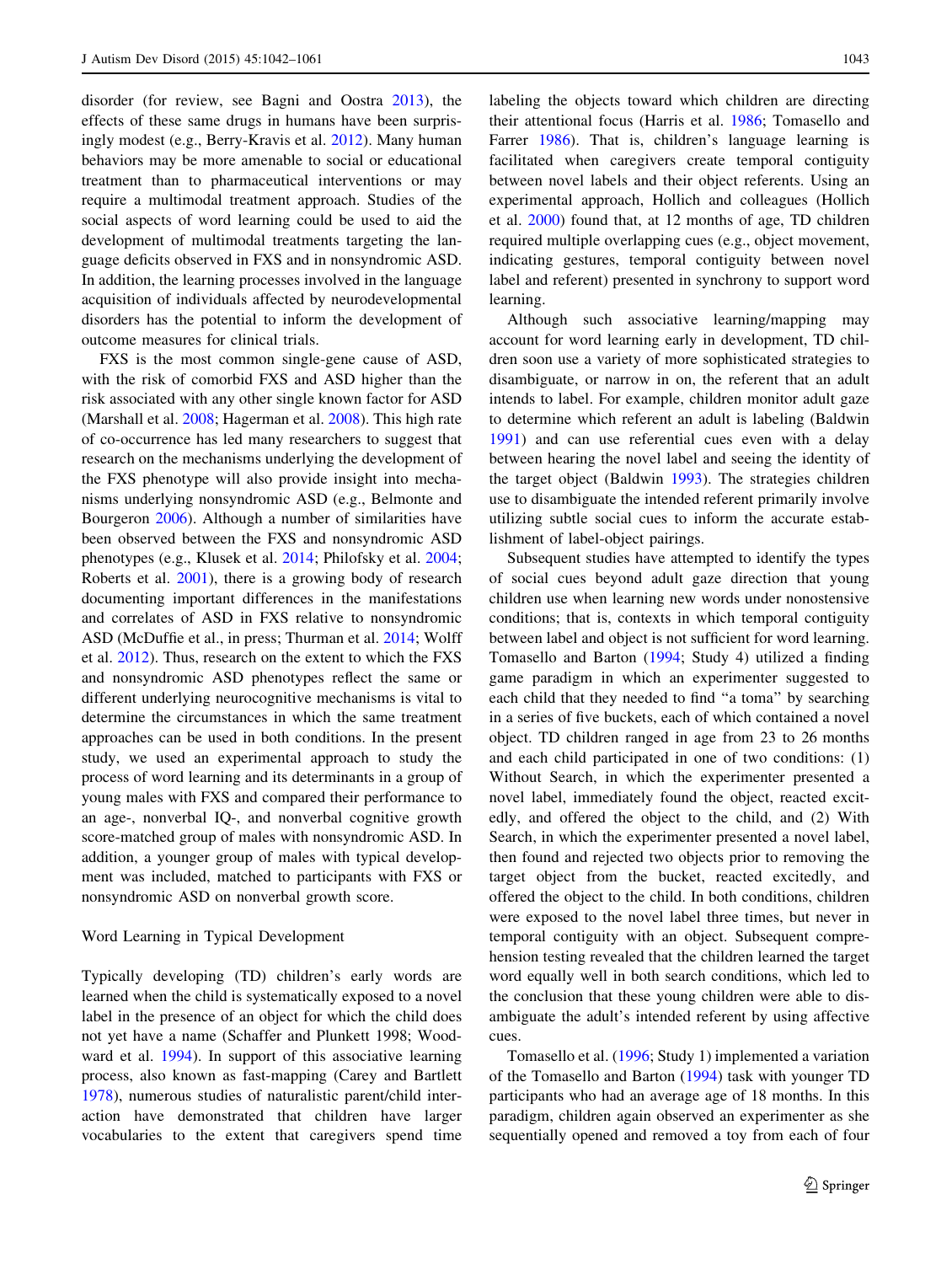disorder (for review, see Bagni and Oostra [2013](#page-17-0)), the effects of these same drugs in humans have been surprisingly modest (e.g., Berry-Kravis et al. [2012](#page-18-0)). Many human behaviors may be more amenable to social or educational treatment than to pharmaceutical interventions or may require a multimodal treatment approach. Studies of the social aspects of word learning could be used to aid the development of multimodal treatments targeting the language deficits observed in FXS and in nonsyndromic ASD. In addition, the learning processes involved in the language acquisition of individuals affected by neurodevelopmental disorders has the potential to inform the development of outcome measures for clinical trials.

FXS is the most common single-gene cause of ASD, with the risk of comorbid FXS and ASD higher than the risk associated with any other single known factor for ASD (Marshall et al. [2008](#page-19-0); Hagerman et al. [2008](#page-18-0)). This high rate of co-occurrence has led many researchers to suggest that research on the mechanisms underlying the development of the FXS phenotype will also provide insight into mechanisms underlying nonsyndromic ASD (e.g., Belmonte and Bourgeron [2006](#page-18-0)). Although a number of similarities have been observed between the FXS and nonsyndromic ASD phenotypes (e.g., Klusek et al. [2014;](#page-18-0) Philofsky et al. [2004](#page-19-0); Roberts et al. [2001\)](#page-19-0), there is a growing body of research documenting important differences in the manifestations and correlates of ASD in FXS relative to nonsyndromic ASD (McDuffie et al., in press; Thurman et al. [2014;](#page-19-0) Wolff et al. [2012](#page-19-0)). Thus, research on the extent to which the FXS and nonsyndromic ASD phenotypes reflect the same or different underlying neurocognitive mechanisms is vital to determine the circumstances in which the same treatment approaches can be used in both conditions. In the present study, we used an experimental approach to study the process of word learning and its determinants in a group of young males with FXS and compared their performance to an age-, nonverbal IQ-, and nonverbal cognitive growth score-matched group of males with nonsyndromic ASD. In addition, a younger group of males with typical development was included, matched to participants with FXS or nonsyndromic ASD on nonverbal growth score.

#### Word Learning in Typical Development

Typically developing (TD) children's early words are learned when the child is systematically exposed to a novel label in the presence of an object for which the child does not yet have a name (Schaffer and Plunkett 1998; Woodward et al. [1994](#page-19-0)). In support of this associative learning process, also known as fast-mapping (Carey and Bartlett [1978\)](#page-18-0), numerous studies of naturalistic parent/child interaction have demonstrated that children have larger vocabularies to the extent that caregivers spend time labeling the objects toward which children are directing their attentional focus (Harris et al. [1986;](#page-18-0) Tomasello and Farrer [1986\)](#page-19-0). That is, children's language learning is facilitated when caregivers create temporal contiguity between novel labels and their object referents. Using an experimental approach, Hollich and colleagues (Hollich et al. [2000](#page-18-0)) found that, at 12 months of age, TD children required multiple overlapping cues (e.g., object movement, indicating gestures, temporal contiguity between novel label and referent) presented in synchrony to support word learning.

Although such associative learning/mapping may account for word learning early in development, TD children soon use a variety of more sophisticated strategies to disambiguate, or narrow in on, the referent that an adult intends to label. For example, children monitor adult gaze to determine which referent an adult is labeling (Baldwin [1991](#page-17-0)) and can use referential cues even with a delay between hearing the novel label and seeing the identity of the target object (Baldwin [1993\)](#page-17-0). The strategies children use to disambiguate the intended referent primarily involve utilizing subtle social cues to inform the accurate establishment of label-object pairings.

Subsequent studies have attempted to identify the types of social cues beyond adult gaze direction that young children use when learning new words under nonostensive conditions; that is, contexts in which temporal contiguity between label and object is not sufficient for word learning. Tomasello and Barton [\(1994;](#page-19-0) Study 4) utilized a finding game paradigm in which an experimenter suggested to each child that they needed to find ''a toma'' by searching in a series of five buckets, each of which contained a novel object. TD children ranged in age from 23 to 26 months and each child participated in one of two conditions: (1) Without Search, in which the experimenter presented a novel label, immediately found the object, reacted excitedly, and offered the object to the child, and (2) With Search, in which the experimenter presented a novel label, then found and rejected two objects prior to removing the target object from the bucket, reacted excitedly, and offered the object to the child. In both conditions, children were exposed to the novel label three times, but never in temporal contiguity with an object. Subsequent comprehension testing revealed that the children learned the target word equally well in both search conditions, which led to the conclusion that these young children were able to disambiguate the adult's intended referent by using affective cues.

Tomasello et al. ([1996;](#page-19-0) Study 1) implemented a variation of the Tomasello and Barton [\(1994](#page-19-0)) task with younger TD participants who had an average age of 18 months. In this paradigm, children again observed an experimenter as she sequentially opened and removed a toy from each of four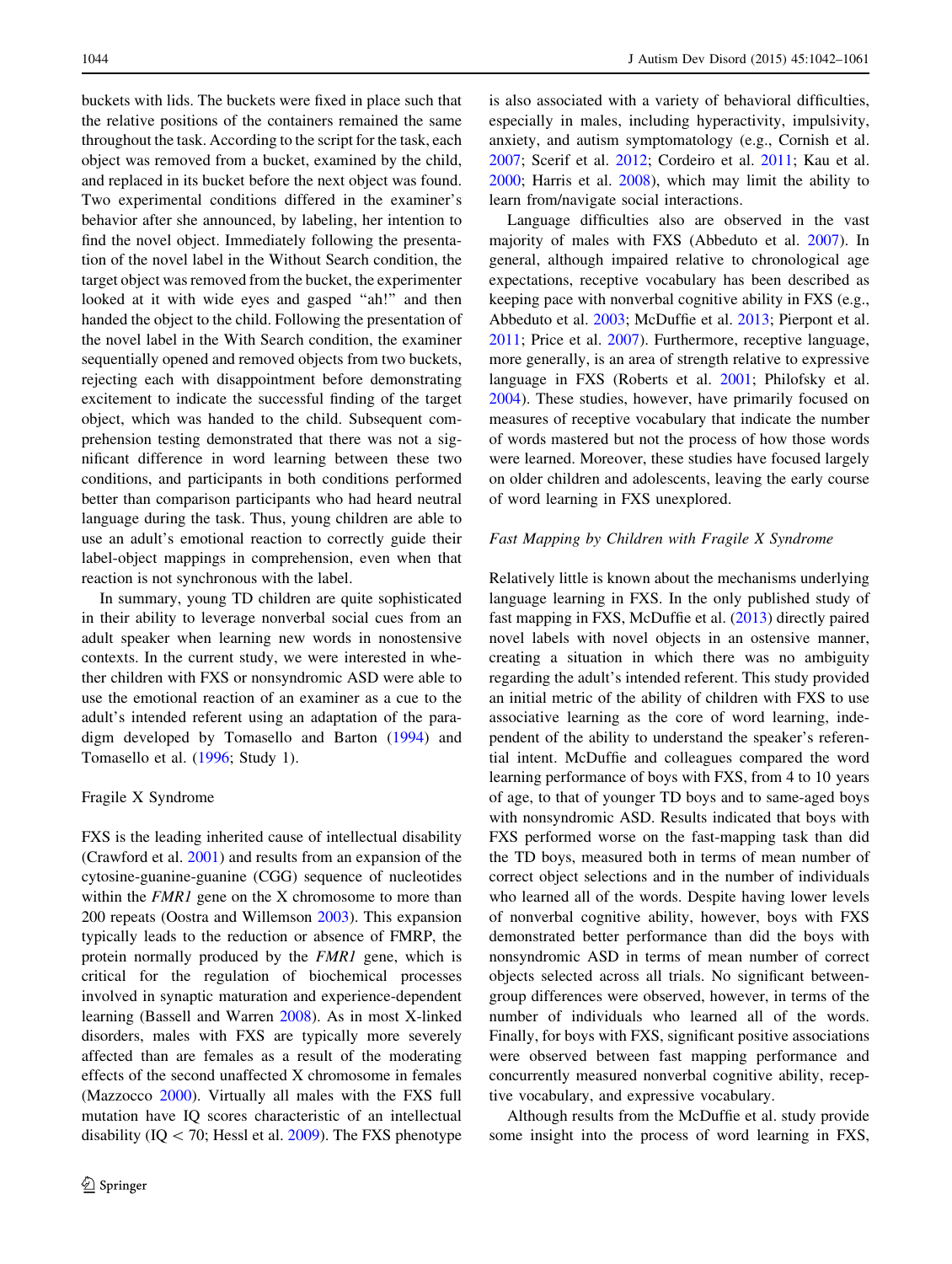buckets with lids. The buckets were fixed in place such that the relative positions of the containers remained the same throughout the task. According to the script for the task, each object was removed from a bucket, examined by the child, and replaced in its bucket before the next object was found. Two experimental conditions differed in the examiner's behavior after she announced, by labeling, her intention to find the novel object. Immediately following the presentation of the novel label in the Without Search condition, the target object was removed from the bucket, the experimenter looked at it with wide eyes and gasped "ah!" and then handed the object to the child. Following the presentation of the novel label in the With Search condition, the examiner sequentially opened and removed objects from two buckets, rejecting each with disappointment before demonstrating excitement to indicate the successful finding of the target object, which was handed to the child. Subsequent comprehension testing demonstrated that there was not a significant difference in word learning between these two conditions, and participants in both conditions performed better than comparison participants who had heard neutral language during the task. Thus, young children are able to use an adult's emotional reaction to correctly guide their label-object mappings in comprehension, even when that reaction is not synchronous with the label.

In summary, young TD children are quite sophisticated in their ability to leverage nonverbal social cues from an adult speaker when learning new words in nonostensive contexts. In the current study, we were interested in whether children with FXS or nonsyndromic ASD were able to use the emotional reaction of an examiner as a cue to the adult's intended referent using an adaptation of the paradigm developed by Tomasello and Barton [\(1994](#page-19-0)) and Tomasello et al. ([1996;](#page-19-0) Study 1).

#### Fragile X Syndrome

FXS is the leading inherited cause of intellectual disability (Crawford et al. [2001](#page-18-0)) and results from an expansion of the cytosine-guanine-guanine (CGG) sequence of nucleotides within the  $FMR1$  gene on the X chromosome to more than 200 repeats (Oostra and Willemson [2003\)](#page-19-0). This expansion typically leads to the reduction or absence of FMRP, the protein normally produced by the FMR1 gene, which is critical for the regulation of biochemical processes involved in synaptic maturation and experience-dependent learning (Bassell and Warren [2008](#page-18-0)). As in most X-linked disorders, males with FXS are typically more severely affected than are females as a result of the moderating effects of the second unaffected X chromosome in females (Mazzocco [2000\)](#page-19-0). Virtually all males with the FXS full mutation have IQ scores characteristic of an intellectual disability ( $IQ < 70$ ; Hessl et al. [2009](#page-18-0)). The FXS phenotype is also associated with a variety of behavioral difficulties, especially in males, including hyperactivity, impulsivity, anxiety, and autism symptomatology (e.g., Cornish et al. [2007](#page-18-0); Scerif et al. [2012](#page-19-0); Cordeiro et al. [2011](#page-18-0); Kau et al. [2000](#page-18-0); Harris et al. [2008](#page-18-0)), which may limit the ability to learn from/navigate social interactions.

Language difficulties also are observed in the vast majority of males with FXS (Abbeduto et al. [2007](#page-17-0)). In general, although impaired relative to chronological age expectations, receptive vocabulary has been described as keeping pace with nonverbal cognitive ability in FXS (e.g., Abbeduto et al. [2003](#page-17-0); McDuffie et al. [2013;](#page-19-0) Pierpont et al. [2011](#page-19-0); Price et al. [2007](#page-19-0)). Furthermore, receptive language, more generally, is an area of strength relative to expressive language in FXS (Roberts et al. [2001;](#page-19-0) Philofsky et al. [2004](#page-19-0)). These studies, however, have primarily focused on measures of receptive vocabulary that indicate the number of words mastered but not the process of how those words were learned. Moreover, these studies have focused largely on older children and adolescents, leaving the early course of word learning in FXS unexplored.

# Fast Mapping by Children with Fragile X Syndrome

Relatively little is known about the mechanisms underlying language learning in FXS. In the only published study of fast mapping in FXS, McDuffie et al. [\(2013](#page-19-0)) directly paired novel labels with novel objects in an ostensive manner, creating a situation in which there was no ambiguity regarding the adult's intended referent. This study provided an initial metric of the ability of children with FXS to use associative learning as the core of word learning, independent of the ability to understand the speaker's referential intent. McDuffie and colleagues compared the word learning performance of boys with FXS, from 4 to 10 years of age, to that of younger TD boys and to same-aged boys with nonsyndromic ASD. Results indicated that boys with FXS performed worse on the fast-mapping task than did the TD boys, measured both in terms of mean number of correct object selections and in the number of individuals who learned all of the words. Despite having lower levels of nonverbal cognitive ability, however, boys with FXS demonstrated better performance than did the boys with nonsyndromic ASD in terms of mean number of correct objects selected across all trials. No significant betweengroup differences were observed, however, in terms of the number of individuals who learned all of the words. Finally, for boys with FXS, significant positive associations were observed between fast mapping performance and concurrently measured nonverbal cognitive ability, receptive vocabulary, and expressive vocabulary.

Although results from the McDuffie et al. study provide some insight into the process of word learning in FXS,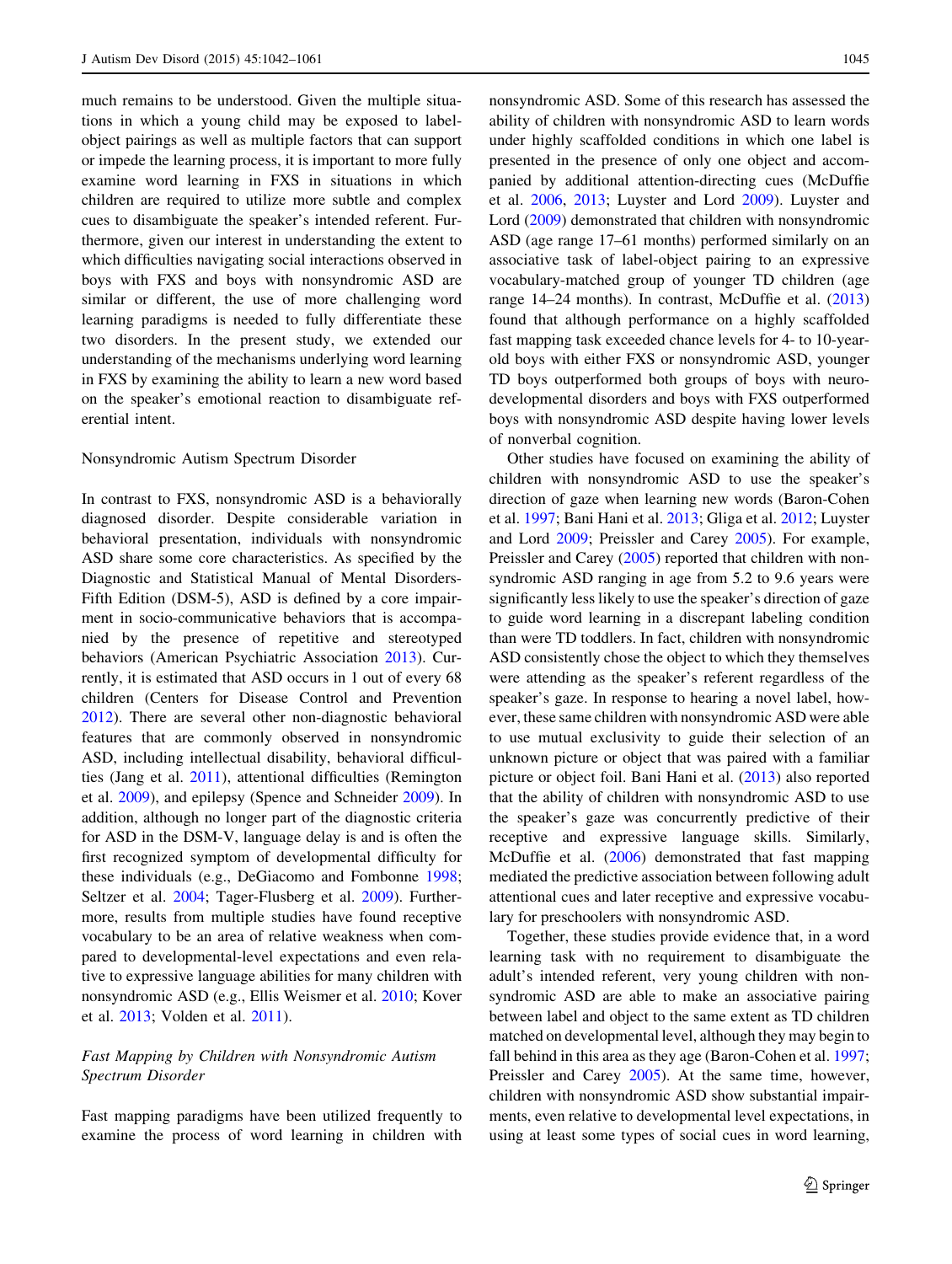much remains to be understood. Given the multiple situations in which a young child may be exposed to labelobject pairings as well as multiple factors that can support or impede the learning process, it is important to more fully examine word learning in FXS in situations in which children are required to utilize more subtle and complex cues to disambiguate the speaker's intended referent. Furthermore, given our interest in understanding the extent to which difficulties navigating social interactions observed in boys with FXS and boys with nonsyndromic ASD are similar or different, the use of more challenging word learning paradigms is needed to fully differentiate these two disorders. In the present study, we extended our understanding of the mechanisms underlying word learning in FXS by examining the ability to learn a new word based on the speaker's emotional reaction to disambiguate referential intent.

#### Nonsyndromic Autism Spectrum Disorder

In contrast to FXS, nonsyndromic ASD is a behaviorally diagnosed disorder. Despite considerable variation in behavioral presentation, individuals with nonsyndromic ASD share some core characteristics. As specified by the Diagnostic and Statistical Manual of Mental Disorders-Fifth Edition (DSM-5), ASD is defined by a core impairment in socio-communicative behaviors that is accompanied by the presence of repetitive and stereotyped behaviors (American Psychiatric Association [2013\)](#page-17-0). Currently, it is estimated that ASD occurs in 1 out of every 68 children (Centers for Disease Control and Prevention [2012\)](#page-18-0). There are several other non-diagnostic behavioral features that are commonly observed in nonsyndromic ASD, including intellectual disability, behavioral difficulties (Jang et al. [2011\)](#page-18-0), attentional difficulties (Remington et al. [2009\)](#page-19-0), and epilepsy (Spence and Schneider [2009](#page-19-0)). In addition, although no longer part of the diagnostic criteria for ASD in the DSM-V, language delay is and is often the first recognized symptom of developmental difficulty for these individuals (e.g., DeGiacomo and Fombonne [1998](#page-18-0); Seltzer et al. [2004](#page-19-0); Tager-Flusberg et al. [2009](#page-19-0)). Furthermore, results from multiple studies have found receptive vocabulary to be an area of relative weakness when compared to developmental-level expectations and even relative to expressive language abilities for many children with nonsyndromic ASD (e.g., Ellis Weismer et al. [2010;](#page-18-0) Kover et al. [2013;](#page-18-0) Volden et al. [2011](#page-19-0)).

# Fast Mapping by Children with Nonsyndromic Autism Spectrum Disorder

Fast mapping paradigms have been utilized frequently to examine the process of word learning in children with nonsyndromic ASD. Some of this research has assessed the ability of children with nonsyndromic ASD to learn words under highly scaffolded conditions in which one label is presented in the presence of only one object and accompanied by additional attention-directing cues (McDuffie et al. [2006](#page-19-0), [2013](#page-19-0); Luyster and Lord [2009](#page-19-0)). Luyster and Lord [\(2009](#page-19-0)) demonstrated that children with nonsyndromic ASD (age range 17–61 months) performed similarly on an associative task of label-object pairing to an expressive vocabulary-matched group of younger TD children (age range 14–24 months). In contrast, McDuffie et al. ([2013\)](#page-19-0) found that although performance on a highly scaffolded fast mapping task exceeded chance levels for 4- to 10-yearold boys with either FXS or nonsyndromic ASD, younger TD boys outperformed both groups of boys with neurodevelopmental disorders and boys with FXS outperformed boys with nonsyndromic ASD despite having lower levels of nonverbal cognition.

Other studies have focused on examining the ability of children with nonsyndromic ASD to use the speaker's direction of gaze when learning new words (Baron-Cohen et al. [1997;](#page-17-0) Bani Hani et al. [2013](#page-17-0); Gliga et al. [2012;](#page-18-0) Luyster and Lord [2009](#page-19-0); Preissler and Carey [2005\)](#page-19-0). For example, Preissler and Carey [\(2005](#page-19-0)) reported that children with nonsyndromic ASD ranging in age from 5.2 to 9.6 years were significantly less likely to use the speaker's direction of gaze to guide word learning in a discrepant labeling condition than were TD toddlers. In fact, children with nonsyndromic ASD consistently chose the object to which they themselves were attending as the speaker's referent regardless of the speaker's gaze. In response to hearing a novel label, however, these same children with nonsyndromic ASD were able to use mutual exclusivity to guide their selection of an unknown picture or object that was paired with a familiar picture or object foil. Bani Hani et al. ([2013\)](#page-17-0) also reported that the ability of children with nonsyndromic ASD to use the speaker's gaze was concurrently predictive of their receptive and expressive language skills. Similarly, McDuffie et al. [\(2006](#page-19-0)) demonstrated that fast mapping mediated the predictive association between following adult attentional cues and later receptive and expressive vocabulary for preschoolers with nonsyndromic ASD.

Together, these studies provide evidence that, in a word learning task with no requirement to disambiguate the adult's intended referent, very young children with nonsyndromic ASD are able to make an associative pairing between label and object to the same extent as TD children matched on developmental level, although they may begin to fall behind in this area as they age (Baron-Cohen et al. [1997](#page-17-0); Preissler and Carey [2005\)](#page-19-0). At the same time, however, children with nonsyndromic ASD show substantial impairments, even relative to developmental level expectations, in using at least some types of social cues in word learning,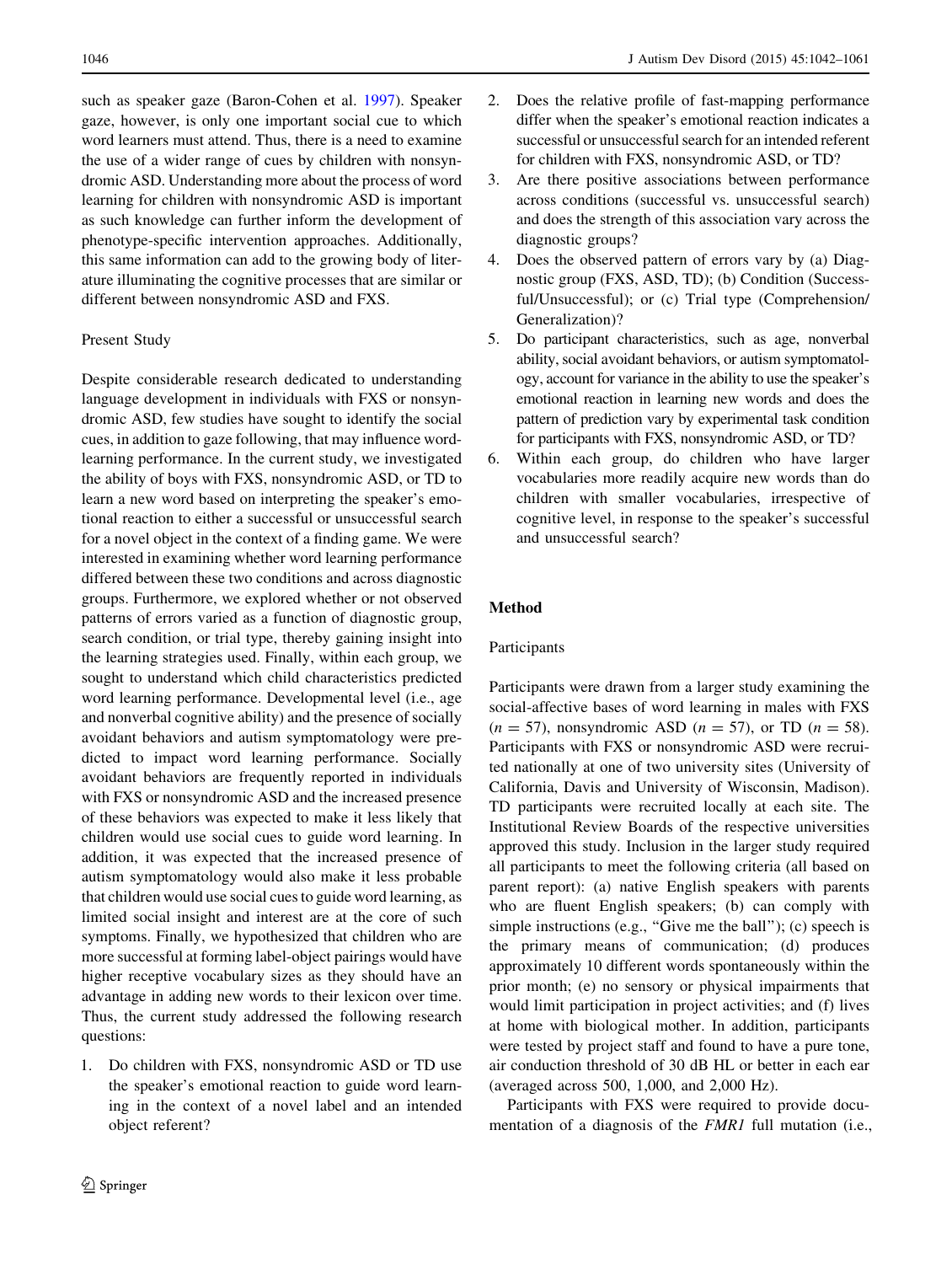such as speaker gaze (Baron-Cohen et al. [1997](#page-17-0)). Speaker gaze, however, is only one important social cue to which word learners must attend. Thus, there is a need to examine the use of a wider range of cues by children with nonsyndromic ASD. Understanding more about the process of word learning for children with nonsyndromic ASD is important as such knowledge can further inform the development of phenotype-specific intervention approaches. Additionally, this same information can add to the growing body of literature illuminating the cognitive processes that are similar or different between nonsyndromic ASD and FXS.

## Present Study

Despite considerable research dedicated to understanding language development in individuals with FXS or nonsyndromic ASD, few studies have sought to identify the social cues, in addition to gaze following, that may influence wordlearning performance. In the current study, we investigated the ability of boys with FXS, nonsyndromic ASD, or TD to learn a new word based on interpreting the speaker's emotional reaction to either a successful or unsuccessful search for a novel object in the context of a finding game. We were interested in examining whether word learning performance differed between these two conditions and across diagnostic groups. Furthermore, we explored whether or not observed patterns of errors varied as a function of diagnostic group, search condition, or trial type, thereby gaining insight into the learning strategies used. Finally, within each group, we sought to understand which child characteristics predicted word learning performance. Developmental level (i.e., age and nonverbal cognitive ability) and the presence of socially avoidant behaviors and autism symptomatology were predicted to impact word learning performance. Socially avoidant behaviors are frequently reported in individuals with FXS or nonsyndromic ASD and the increased presence of these behaviors was expected to make it less likely that children would use social cues to guide word learning. In addition, it was expected that the increased presence of autism symptomatology would also make it less probable that children would use social cues to guide word learning, as limited social insight and interest are at the core of such symptoms. Finally, we hypothesized that children who are more successful at forming label-object pairings would have higher receptive vocabulary sizes as they should have an advantage in adding new words to their lexicon over time. Thus, the current study addressed the following research questions:

1. Do children with FXS, nonsyndromic ASD or TD use the speaker's emotional reaction to guide word learning in the context of a novel label and an intended object referent?

- 2. Does the relative profile of fast-mapping performance differ when the speaker's emotional reaction indicates a successful or unsuccessful search for an intended referent for children with FXS, nonsyndromic ASD, or TD?
- 3. Are there positive associations between performance across conditions (successful vs. unsuccessful search) and does the strength of this association vary across the diagnostic groups?
- 4. Does the observed pattern of errors vary by (a) Diagnostic group (FXS, ASD, TD); (b) Condition (Successful/Unsuccessful); or (c) Trial type (Comprehension/ Generalization)?
- 5. Do participant characteristics, such as age, nonverbal ability, social avoidant behaviors, or autism symptomatology, account for variance in the ability to use the speaker's emotional reaction in learning new words and does the pattern of prediction vary by experimental task condition for participants with FXS, nonsyndromic ASD, or TD?
- 6. Within each group, do children who have larger vocabularies more readily acquire new words than do children with smaller vocabularies, irrespective of cognitive level, in response to the speaker's successful and unsuccessful search?

## Method

#### Participants

Participants were drawn from a larger study examining the social-affective bases of word learning in males with FXS  $(n = 57)$ , nonsyndromic ASD  $(n = 57)$ , or TD  $(n = 58)$ . Participants with FXS or nonsyndromic ASD were recruited nationally at one of two university sites (University of California, Davis and University of Wisconsin, Madison). TD participants were recruited locally at each site. The Institutional Review Boards of the respective universities approved this study. Inclusion in the larger study required all participants to meet the following criteria (all based on parent report): (a) native English speakers with parents who are fluent English speakers; (b) can comply with simple instructions (e.g., "Give me the ball"); (c) speech is the primary means of communication; (d) produces approximately 10 different words spontaneously within the prior month; (e) no sensory or physical impairments that would limit participation in project activities; and (f) lives at home with biological mother. In addition, participants were tested by project staff and found to have a pure tone, air conduction threshold of 30 dB HL or better in each ear (averaged across 500, 1,000, and 2,000 Hz).

Participants with FXS were required to provide documentation of a diagnosis of the FMR1 full mutation (i.e.,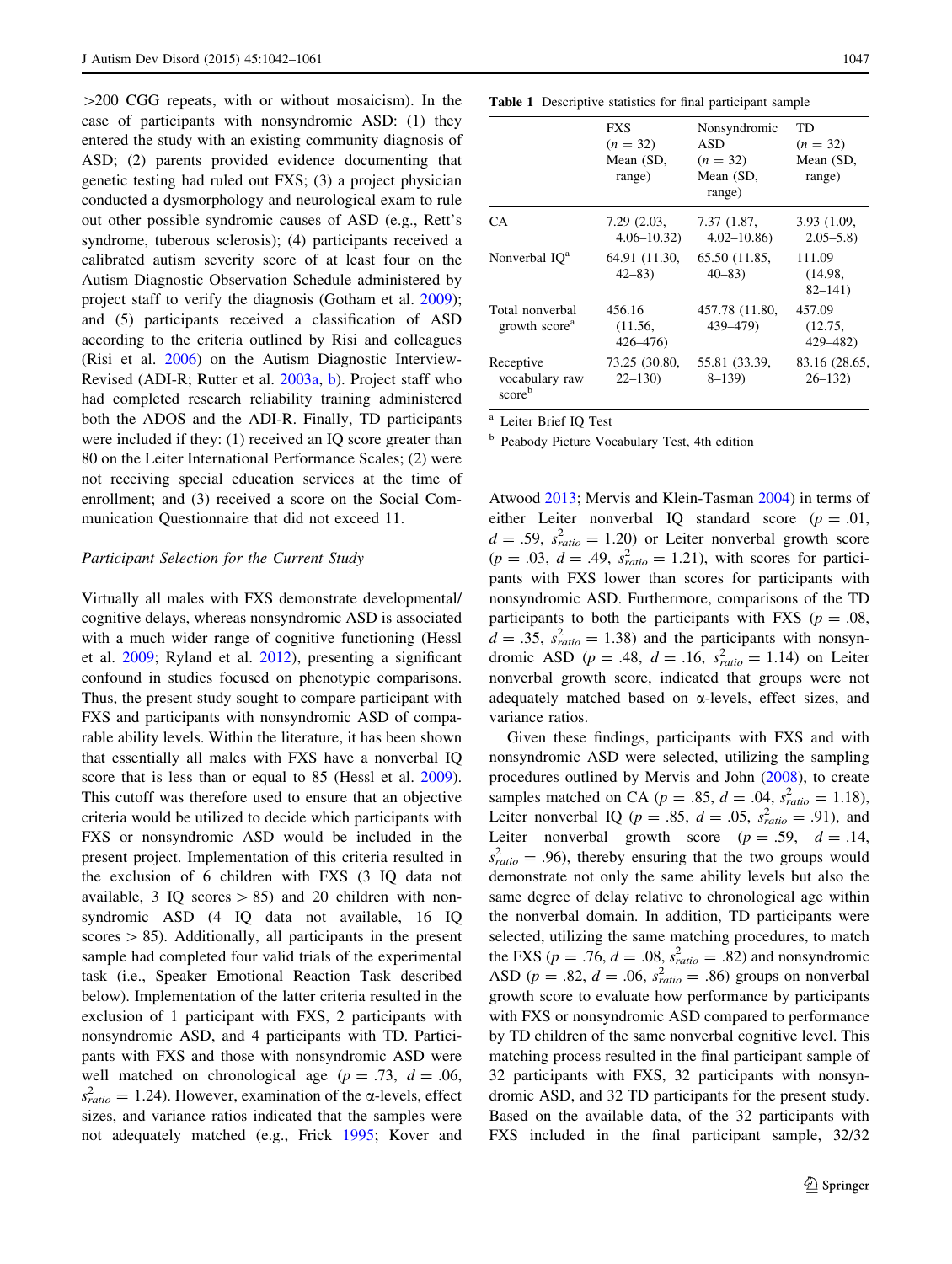<span id="page-5-0"></span> $>200$  CGG repeats, with or without mosaicism). In the case of participants with nonsyndromic ASD: (1) they entered the study with an existing community diagnosis of ASD; (2) parents provided evidence documenting that genetic testing had ruled out FXS; (3) a project physician conducted a dysmorphology and neurological exam to rule out other possible syndromic causes of ASD (e.g., Rett's syndrome, tuberous sclerosis); (4) participants received a calibrated autism severity score of at least four on the Autism Diagnostic Observation Schedule administered by project staff to verify the diagnosis (Gotham et al. [2009](#page-18-0)); and (5) participants received a classification of ASD according to the criteria outlined by Risi and colleagues (Risi et al. [2006](#page-19-0)) on the Autism Diagnostic Interview-Revised (ADI-R; Rutter et al. [2003a,](#page-19-0) [b](#page-19-0)). Project staff who had completed research reliability training administered both the ADOS and the ADI-R. Finally, TD participants were included if they: (1) received an IQ score greater than 80 on the Leiter International Performance Scales; (2) were not receiving special education services at the time of enrollment; and (3) received a score on the Social Communication Questionnaire that did not exceed 11.

#### Participant Selection for the Current Study

Virtually all males with FXS demonstrate developmental/ cognitive delays, whereas nonsyndromic ASD is associated with a much wider range of cognitive functioning (Hessl et al. [2009;](#page-18-0) Ryland et al. [2012\)](#page-19-0), presenting a significant confound in studies focused on phenotypic comparisons. Thus, the present study sought to compare participant with FXS and participants with nonsyndromic ASD of comparable ability levels. Within the literature, it has been shown that essentially all males with FXS have a nonverbal IQ score that is less than or equal to 85 (Hessl et al. [2009](#page-18-0)). This cutoff was therefore used to ensure that an objective criteria would be utilized to decide which participants with FXS or nonsyndromic ASD would be included in the present project. Implementation of this criteria resulted in the exclusion of 6 children with FXS (3 IQ data not available, 3 IQ scores  $> 85$ ) and 20 children with nonsyndromic ASD (4 IQ data not available, 16 IQ  $scores > 85$ ). Additionally, all participants in the present sample had completed four valid trials of the experimental task (i.e., Speaker Emotional Reaction Task described below). Implementation of the latter criteria resulted in the exclusion of 1 participant with FXS, 2 participants with nonsyndromic ASD, and 4 participants with TD. Participants with FXS and those with nonsyndromic ASD were well matched on chronological age ( $p = .73$ ,  $d = .06$ ,  $s<sub>ratio</sub><sup>2</sup> = 1.24$ . However, examination of the  $\alpha$ -levels, effect sizes, and variance ratios indicated that the samples were not adequately matched (e.g., Frick [1995](#page-18-0); Kover and

Table 1 Descriptive statistics for final participant sample

|                                              | <b>FXS</b><br>$(n = 32)$<br>Mean (SD,<br>range) | Nonsyndromic<br>ASD<br>$(n = 32)$<br>Mean (SD,<br>range) | TD<br>$(n = 32)$<br>Mean (SD,<br>range) |
|----------------------------------------------|-------------------------------------------------|----------------------------------------------------------|-----------------------------------------|
| CA.                                          | 7.29 (2.03,<br>$4.06 - 10.32$                   | 7.37 (1.87,<br>$4.02 - 10.86$                            | 3.93 (1.09,<br>$2.05 - 5.8$             |
| Nonverbal IO <sup>a</sup>                    | 64.91 (11.30,<br>$42 - 83$                      | 65.50 (11.85,<br>$40 - 83$                               | 111.09<br>(14.98,<br>$82 - 141$         |
| Total nonverbal<br>growth score <sup>a</sup> | 456.16<br>(11.56,<br>$426 - 476$                | 457.78 (11.80,<br>439-479)                               | 457.09<br>(12.75,<br>429–482)           |
| Receptive<br>vocabulary raw<br>scoreb        | 73.25 (30.80,<br>$22 - 130$                     | 55.81 (33.39,<br>$8 - 139$                               | 83.16 (28.65,<br>$26 - 132$             |

<sup>a</sup> Leiter Brief IQ Test

<sup>b</sup> Peabody Picture Vocabulary Test, 4th edition

Atwood [2013;](#page-18-0) Mervis and Klein-Tasman [2004](#page-19-0)) in terms of either Leiter nonverbal IQ standard score  $(p = .01, )$  $d = .59$ ,  $s<sub>ratio</sub><sup>2</sup> = 1.20$  or Leiter nonverbal growth score  $(p = .03, d = .49, s_{ratio}^2 = 1.21)$ , with scores for participants with FXS lower than scores for participants with nonsyndromic ASD. Furthermore, comparisons of the TD participants to both the participants with FXS ( $p = .08$ ,  $d = .35$ ,  $s<sub>ratio</sub><sup>2</sup> = 1.38$ ) and the participants with nonsyndromic ASD ( $p = .48$ ,  $d = .16$ ,  $s_{ratio}^2 = 1.14$ ) on Leiter nonverbal growth score, indicated that groups were not adequately matched based on  $\alpha$ -levels, effect sizes, and variance ratios.

Given these findings, participants with FXS and with nonsyndromic ASD were selected, utilizing the sampling procedures outlined by Mervis and John [\(2008](#page-19-0)), to create samples matched on CA ( $p = .85$ ,  $d = .04$ ,  $s_{ratio}^2 = 1.18$ ), Leiter nonverbal IQ ( $p = .85$ ,  $d = .05$ ,  $s_{ratio}^2 = .91$ ), and Leiter nonverbal growth score  $(p = .59, d = .14,$  $s<sub>ratio</sub><sup>2</sup> = .96$ , thereby ensuring that the two groups would demonstrate not only the same ability levels but also the same degree of delay relative to chronological age within the nonverbal domain. In addition, TD participants were selected, utilizing the same matching procedures, to match the FXS ( $p = .76$ ,  $d = .08$ ,  $s_{ratio}^2 = .82$ ) and nonsyndromic ASD ( $p = .82$ ,  $d = .06$ ,  $s_{ratio}^2 = .86$ ) groups on nonverbal growth score to evaluate how performance by participants with FXS or nonsyndromic ASD compared to performance by TD children of the same nonverbal cognitive level. This matching process resulted in the final participant sample of 32 participants with FXS, 32 participants with nonsyndromic ASD, and 32 TD participants for the present study. Based on the available data, of the 32 participants with FXS included in the final participant sample, 32/32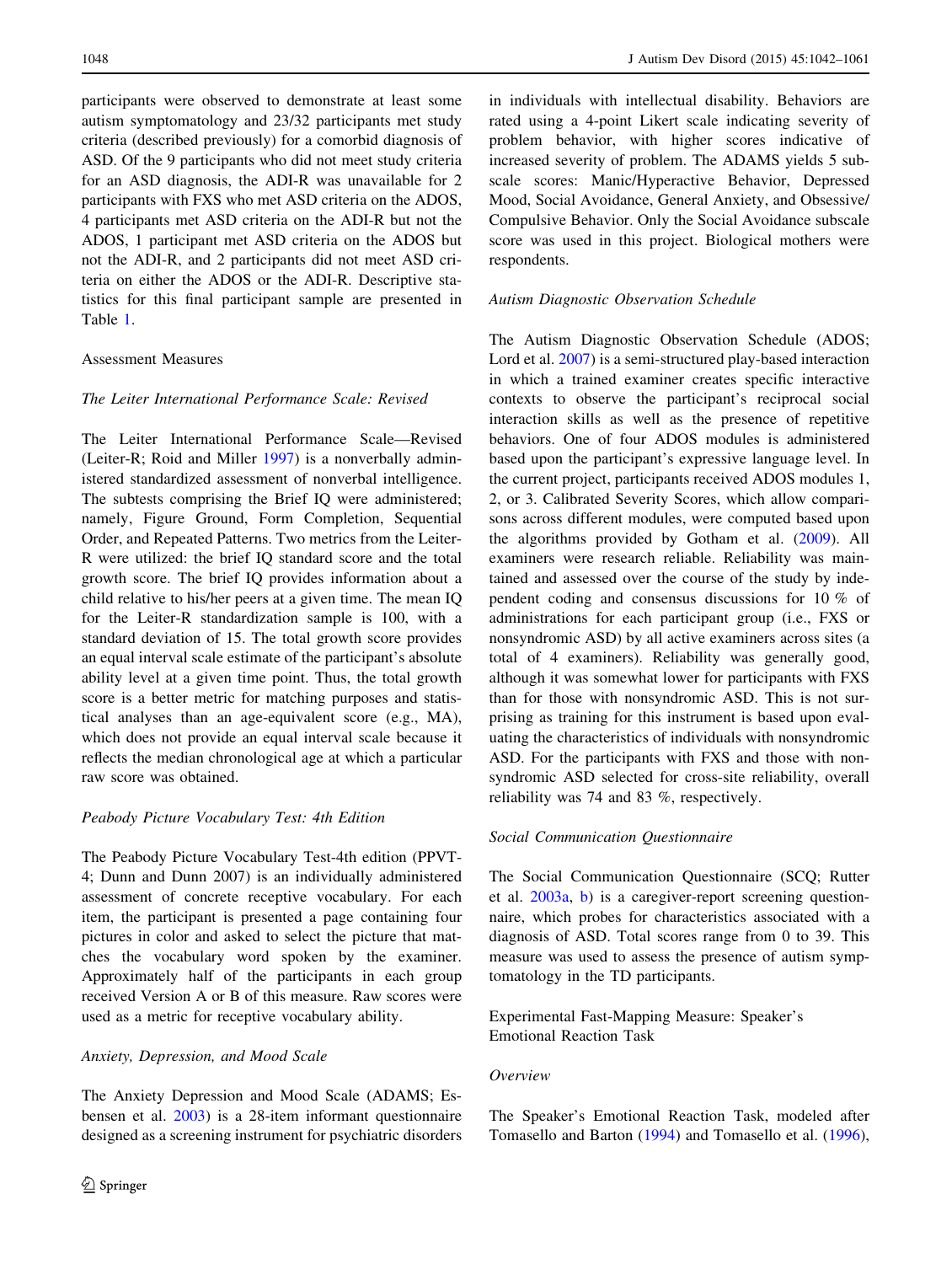participants were observed to demonstrate at least some autism symptomatology and 23/32 participants met study criteria (described previously) for a comorbid diagnosis of ASD. Of the 9 participants who did not meet study criteria for an ASD diagnosis, the ADI-R was unavailable for 2 participants with FXS who met ASD criteria on the ADOS, 4 participants met ASD criteria on the ADI-R but not the ADOS, 1 participant met ASD criteria on the ADOS but not the ADI-R, and 2 participants did not meet ASD criteria on either the ADOS or the ADI-R. Descriptive statistics for this final participant sample are presented in Table [1](#page-5-0).

# Assessment Measures

# The Leiter International Performance Scale: Revised

The Leiter International Performance Scale—Revised (Leiter-R; Roid and Miller [1997](#page-19-0)) is a nonverbally administered standardized assessment of nonverbal intelligence. The subtests comprising the Brief IQ were administered; namely, Figure Ground, Form Completion, Sequential Order, and Repeated Patterns. Two metrics from the Leiter-R were utilized: the brief IQ standard score and the total growth score. The brief IQ provides information about a child relative to his/her peers at a given time. The mean IQ for the Leiter-R standardization sample is 100, with a standard deviation of 15. The total growth score provides an equal interval scale estimate of the participant's absolute ability level at a given time point. Thus, the total growth score is a better metric for matching purposes and statistical analyses than an age-equivalent score (e.g., MA), which does not provide an equal interval scale because it reflects the median chronological age at which a particular raw score was obtained.

# Peabody Picture Vocabulary Test: 4th Edition

The Peabody Picture Vocabulary Test-4th edition (PPVT-4; Dunn and Dunn 2007) is an individually administered assessment of concrete receptive vocabulary. For each item, the participant is presented a page containing four pictures in color and asked to select the picture that matches the vocabulary word spoken by the examiner. Approximately half of the participants in each group received Version A or B of this measure. Raw scores were used as a metric for receptive vocabulary ability.

#### Anxiety, Depression, and Mood Scale

The Anxiety Depression and Mood Scale (ADAMS; Esbensen et al. [2003\)](#page-18-0) is a 28-item informant questionnaire designed as a screening instrument for psychiatric disorders in individuals with intellectual disability. Behaviors are rated using a 4-point Likert scale indicating severity of problem behavior, with higher scores indicative of increased severity of problem. The ADAMS yields 5 subscale scores: Manic/Hyperactive Behavior, Depressed Mood, Social Avoidance, General Anxiety, and Obsessive/ Compulsive Behavior. Only the Social Avoidance subscale score was used in this project. Biological mothers were respondents.

## Autism Diagnostic Observation Schedule

The Autism Diagnostic Observation Schedule (ADOS; Lord et al. [2007\)](#page-18-0) is a semi-structured play-based interaction in which a trained examiner creates specific interactive contexts to observe the participant's reciprocal social interaction skills as well as the presence of repetitive behaviors. One of four ADOS modules is administered based upon the participant's expressive language level. In the current project, participants received ADOS modules 1, 2, or 3. Calibrated Severity Scores, which allow comparisons across different modules, were computed based upon the algorithms provided by Gotham et al. ([2009\)](#page-18-0). All examiners were research reliable. Reliability was maintained and assessed over the course of the study by independent coding and consensus discussions for 10 % of administrations for each participant group (i.e., FXS or nonsyndromic ASD) by all active examiners across sites (a total of 4 examiners). Reliability was generally good, although it was somewhat lower for participants with FXS than for those with nonsyndromic ASD. This is not surprising as training for this instrument is based upon evaluating the characteristics of individuals with nonsyndromic ASD. For the participants with FXS and those with nonsyndromic ASD selected for cross-site reliability, overall reliability was 74 and 83 %, respectively.

#### Social Communication Questionnaire

The Social Communication Questionnaire (SCQ; Rutter et al. [2003a](#page-19-0), [b](#page-19-0)) is a caregiver-report screening questionnaire, which probes for characteristics associated with a diagnosis of ASD. Total scores range from 0 to 39. This measure was used to assess the presence of autism symptomatology in the TD participants.

Experimental Fast-Mapping Measure: Speaker's Emotional Reaction Task

#### Overview

The Speaker's Emotional Reaction Task, modeled after Tomasello and Barton ([1994\)](#page-19-0) and Tomasello et al. [\(1996](#page-19-0)),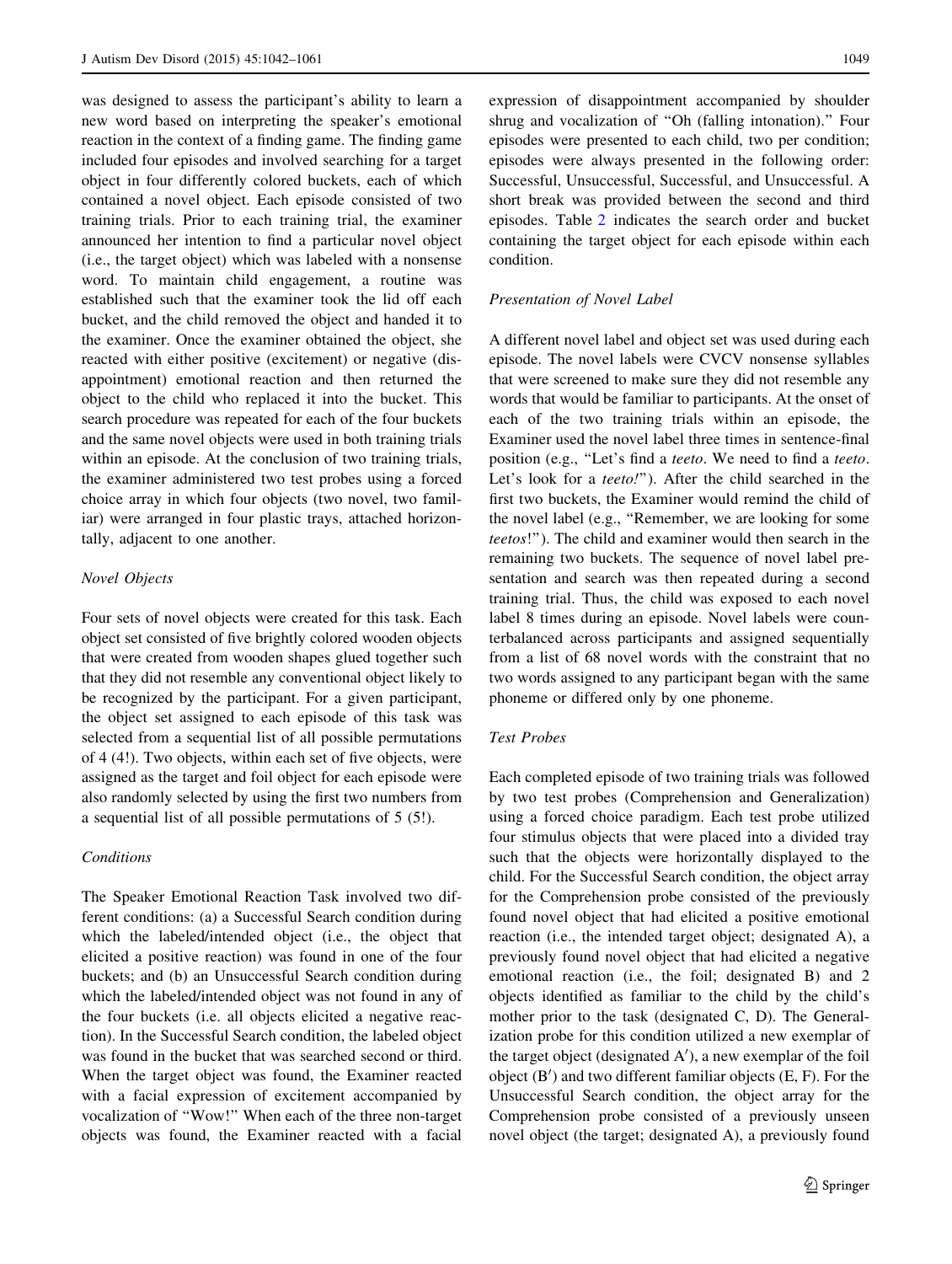was designed to assess the participant's ability to learn a new word based on interpreting the speaker's emotional reaction in the context of a finding game. The finding game included four episodes and involved searching for a target object in four differently colored buckets, each of which contained a novel object. Each episode consisted of two training trials. Prior to each training trial, the examiner announced her intention to find a particular novel object (i.e., the target object) which was labeled with a nonsense word. To maintain child engagement, a routine was established such that the examiner took the lid off each bucket, and the child removed the object and handed it to the examiner. Once the examiner obtained the object, she reacted with either positive (excitement) or negative (disappointment) emotional reaction and then returned the object to the child who replaced it into the bucket. This search procedure was repeated for each of the four buckets and the same novel objects were used in both training trials within an episode. At the conclusion of two training trials, the examiner administered two test probes using a forced choice array in which four objects (two novel, two familiar) were arranged in four plastic trays, attached horizontally, adjacent to one another.

#### Novel Objects

Four sets of novel objects were created for this task. Each object set consisted of five brightly colored wooden objects that were created from wooden shapes glued together such that they did not resemble any conventional object likely to be recognized by the participant. For a given participant, the object set assigned to each episode of this task was selected from a sequential list of all possible permutations of 4 (4!). Two objects, within each set of five objects, were assigned as the target and foil object for each episode were also randomly selected by using the first two numbers from a sequential list of all possible permutations of 5 (5!).

# Conditions

The Speaker Emotional Reaction Task involved two different conditions: (a) a Successful Search condition during which the labeled/intended object (i.e., the object that elicited a positive reaction) was found in one of the four buckets; and (b) an Unsuccessful Search condition during which the labeled/intended object was not found in any of the four buckets (i.e. all objects elicited a negative reaction). In the Successful Search condition, the labeled object was found in the bucket that was searched second or third. When the target object was found, the Examiner reacted with a facial expression of excitement accompanied by vocalization of ''Wow!'' When each of the three non-target objects was found, the Examiner reacted with a facial expression of disappointment accompanied by shoulder shrug and vocalization of ''Oh (falling intonation).'' Four episodes were presented to each child, two per condition; episodes were always presented in the following order: Successful, Unsuccessful, Successful, and Unsuccessful. A short break was provided between the second and third episodes. Table [2](#page-8-0) indicates the search order and bucket containing the target object for each episode within each condition.

## Presentation of Novel Label

A different novel label and object set was used during each episode. The novel labels were CVCV nonsense syllables that were screened to make sure they did not resemble any words that would be familiar to participants. At the onset of each of the two training trials within an episode, the Examiner used the novel label three times in sentence-final position (e.g., ''Let's find a teeto. We need to find a teeto. Let's look for a teeto!"). After the child searched in the first two buckets, the Examiner would remind the child of the novel label (e.g., ''Remember, we are looking for some teetos!''). The child and examiner would then search in the remaining two buckets. The sequence of novel label presentation and search was then repeated during a second training trial. Thus, the child was exposed to each novel label 8 times during an episode. Novel labels were counterbalanced across participants and assigned sequentially from a list of 68 novel words with the constraint that no two words assigned to any participant began with the same phoneme or differed only by one phoneme.

#### Test Probes

Each completed episode of two training trials was followed by two test probes (Comprehension and Generalization) using a forced choice paradigm. Each test probe utilized four stimulus objects that were placed into a divided tray such that the objects were horizontally displayed to the child. For the Successful Search condition, the object array for the Comprehension probe consisted of the previously found novel object that had elicited a positive emotional reaction (i.e., the intended target object; designated A), a previously found novel object that had elicited a negative emotional reaction (i.e., the foil; designated B) and 2 objects identified as familiar to the child by the child's mother prior to the task (designated C, D). The Generalization probe for this condition utilized a new exemplar of the target object (designated  $A'$ ), a new exemplar of the foil object  $(B')$  and two different familiar objects  $(E, F)$ . For the Unsuccessful Search condition, the object array for the Comprehension probe consisted of a previously unseen novel object (the target; designated A), a previously found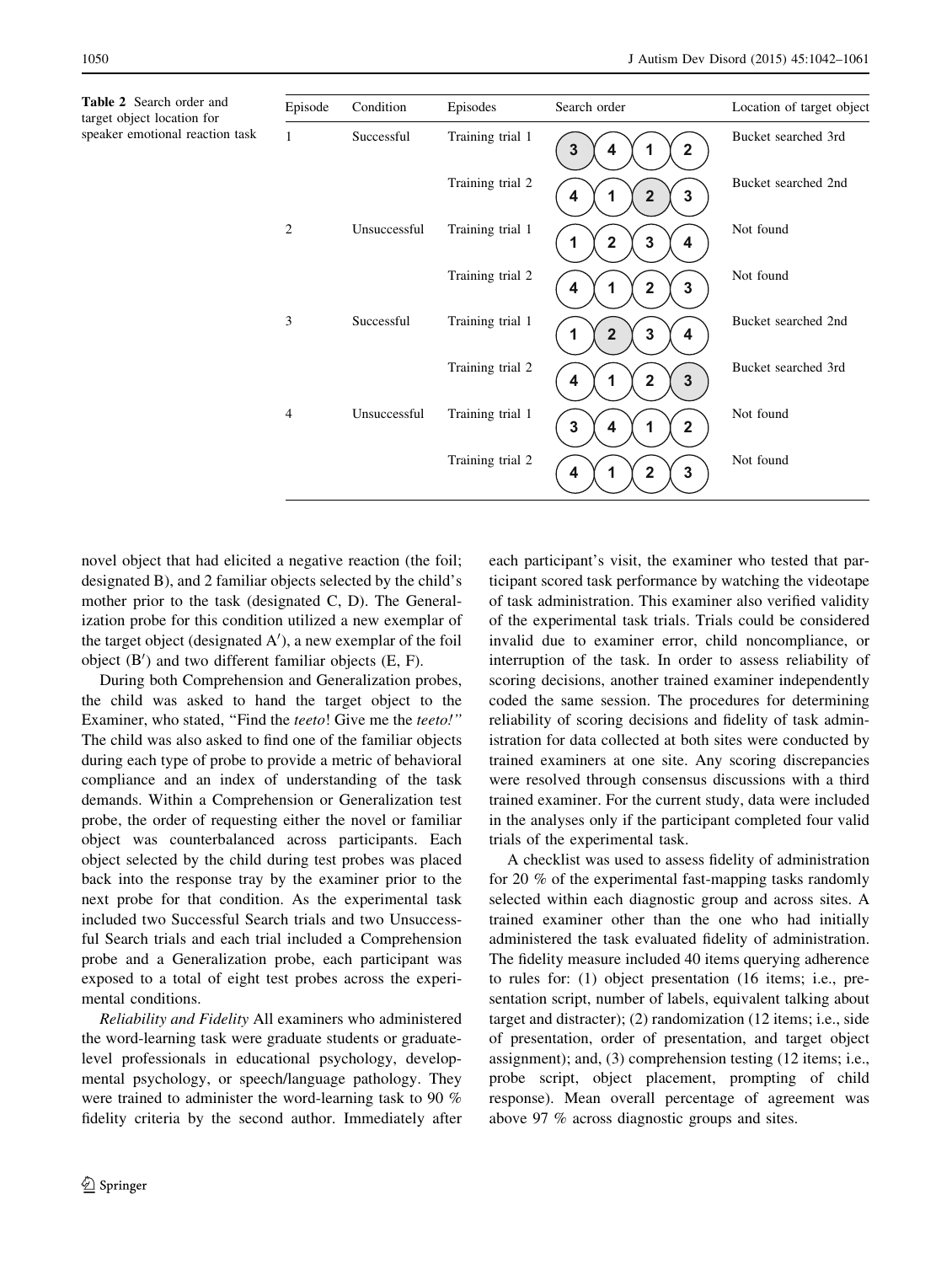<span id="page-8-0"></span>1050 J Autism Dev Disord (2015) 45:1042–1061

| Episode        | Condition    | Episodes         | Search order               | Location of target object |
|----------------|--------------|------------------|----------------------------|---------------------------|
| 1              | Successful   | Training trial 1 | 3<br>$\mathbf 2$<br>4<br>1 | Bucket searched 3rd       |
|                |              | Training trial 2 | 3<br>2<br>4                | Bucket searched 2nd       |
| $\overline{c}$ | Unsuccessful | Training trial 1 | 3<br>4<br>1                | Not found                 |
|                |              | Training trial 2 | 2<br>3<br>4                | Not found                 |
| 3              | Successful   | Training trial 1 | 3<br>2<br>4<br>1           | Bucket searched 2nd       |
|                |              | Training trial 2 | 2<br>3<br>4                | Bucket searched 3rd       |
| $\overline{4}$ | Unsuccessful | Training trial 1 | 3<br>2<br>4                | Not found                 |
|                |              | Training trial 2 | 2<br>3<br>4<br>1           | Not found                 |

Table 2 Search order and target object location for speaker emotional reaction task

novel object that had elicited a negative reaction (the foil; designated B), and 2 familiar objects selected by the child's mother prior to the task (designated C, D). The Generalization probe for this condition utilized a new exemplar of the target object (designated  $A'$ ), a new exemplar of the foil object (B') and two different familiar objects (E, F).

During both Comprehension and Generalization probes, the child was asked to hand the target object to the Examiner, who stated, "Find the teeto! Give me the teeto!" The child was also asked to find one of the familiar objects during each type of probe to provide a metric of behavioral compliance and an index of understanding of the task demands. Within a Comprehension or Generalization test probe, the order of requesting either the novel or familiar object was counterbalanced across participants. Each object selected by the child during test probes was placed back into the response tray by the examiner prior to the next probe for that condition. As the experimental task included two Successful Search trials and two Unsuccessful Search trials and each trial included a Comprehension probe and a Generalization probe, each participant was exposed to a total of eight test probes across the experimental conditions.

Reliability and Fidelity All examiners who administered the word-learning task were graduate students or graduatelevel professionals in educational psychology, developmental psychology, or speech/language pathology. They were trained to administer the word-learning task to 90 % fidelity criteria by the second author. Immediately after each participant's visit, the examiner who tested that participant scored task performance by watching the videotape of task administration. This examiner also verified validity of the experimental task trials. Trials could be considered invalid due to examiner error, child noncompliance, or interruption of the task. In order to assess reliability of scoring decisions, another trained examiner independently coded the same session. The procedures for determining reliability of scoring decisions and fidelity of task administration for data collected at both sites were conducted by trained examiners at one site. Any scoring discrepancies were resolved through consensus discussions with a third trained examiner. For the current study, data were included in the analyses only if the participant completed four valid trials of the experimental task.

A checklist was used to assess fidelity of administration for 20 % of the experimental fast-mapping tasks randomly selected within each diagnostic group and across sites. A trained examiner other than the one who had initially administered the task evaluated fidelity of administration. The fidelity measure included 40 items querying adherence to rules for: (1) object presentation (16 items; i.e., presentation script, number of labels, equivalent talking about target and distracter); (2) randomization (12 items; i.e., side of presentation, order of presentation, and target object assignment); and, (3) comprehension testing (12 items; i.e., probe script, object placement, prompting of child response). Mean overall percentage of agreement was above 97 % across diagnostic groups and sites.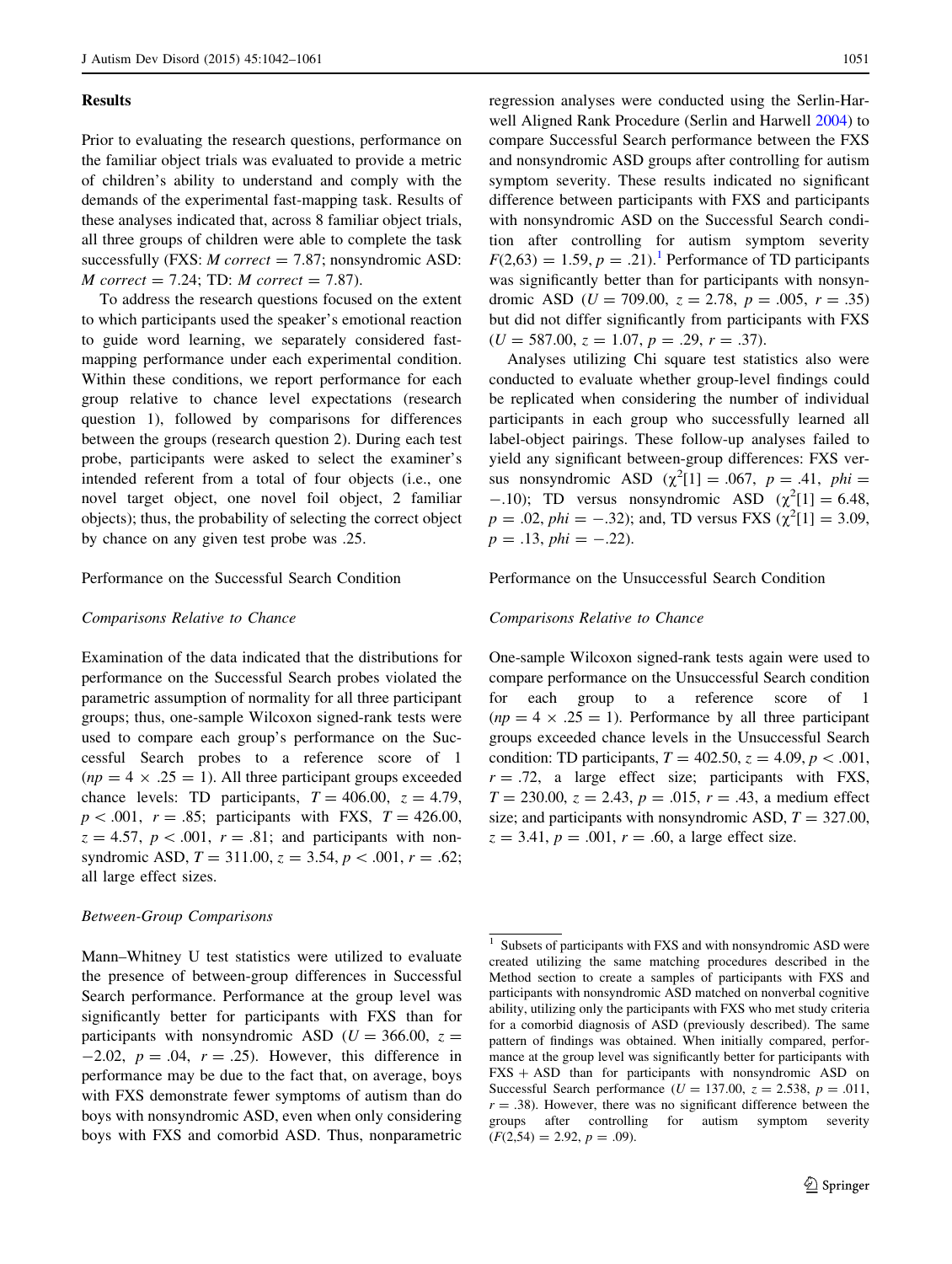#### Results

Prior to evaluating the research questions, performance on the familiar object trials was evaluated to provide a metric of children's ability to understand and comply with the demands of the experimental fast-mapping task. Results of these analyses indicated that, across 8 familiar object trials, all three groups of children were able to complete the task successfully (FXS: *M correct* = 7.87; nonsyndromic ASD:  $M$  correct = 7.24; TD:  $M$  correct = 7.87).

To address the research questions focused on the extent to which participants used the speaker's emotional reaction to guide word learning, we separately considered fastmapping performance under each experimental condition. Within these conditions, we report performance for each group relative to chance level expectations (research question 1), followed by comparisons for differences between the groups (research question 2). During each test probe, participants were asked to select the examiner's intended referent from a total of four objects (i.e., one novel target object, one novel foil object, 2 familiar objects); thus, the probability of selecting the correct object by chance on any given test probe was .25.

Performance on the Successful Search Condition

#### Comparisons Relative to Chance

Examination of the data indicated that the distributions for performance on the Successful Search probes violated the parametric assumption of normality for all three participant groups; thus, one-sample Wilcoxon signed-rank tests were used to compare each group's performance on the Successful Search probes to a reference score of 1  $(np = 4 \times .25 = 1)$ . All three participant groups exceeded chance levels: TD participants,  $T = 406.00$ ,  $z = 4.79$ ,  $p < .001$ ,  $r = .85$ ; participants with FXS,  $T = 426.00$ ,  $z = 4.57$ ,  $p < .001$ ,  $r = .81$ ; and participants with nonsyndromic ASD,  $T = 311.00$ ,  $z = 3.54$ ,  $p < .001$ ,  $r = .62$ ; all large effect sizes.

# Between-Group Comparisons

Mann–Whitney U test statistics were utilized to evaluate the presence of between-group differences in Successful Search performance. Performance at the group level was significantly better for participants with FXS than for participants with nonsyndromic ASD ( $U = 366.00$ ,  $z =$  $-2.02$ ,  $p = .04$ ,  $r = .25$ ). However, this difference in performance may be due to the fact that, on average, boys with FXS demonstrate fewer symptoms of autism than do boys with nonsyndromic ASD, even when only considering boys with FXS and comorbid ASD. Thus, nonparametric regression analyses were conducted using the Serlin-Harwell Aligned Rank Procedure (Serlin and Harwell [2004](#page-19-0)) to compare Successful Search performance between the FXS and nonsyndromic ASD groups after controlling for autism symptom severity. These results indicated no significant difference between participants with FXS and participants with nonsyndromic ASD on the Successful Search condition after controlling for autism symptom severity  $F(2,63) = 1.59, p = .21$ .<sup>1</sup> Performance of TD participants was significantly better than for participants with nonsyndromic ASD ( $U = 709.00$ ,  $z = 2.78$ ,  $p = .005$ ,  $r = .35$ ) but did not differ significantly from participants with FXS  $(U = 587.00, z = 1.07, p = .29, r = .37).$ 

Analyses utilizing Chi square test statistics also were conducted to evaluate whether group-level findings could be replicated when considering the number of individual participants in each group who successfully learned all label-object pairings. These follow-up analyses failed to yield any significant between-group differences: FXS versus nonsyndromic ASD  $(\chi^2[1] = .067, p = .41, phi =$ -.10); TD versus nonsyndromic ASD  $(\chi^2[1] = 6.48,$  $p = .02$ ,  $phi = -.32$ ); and, TD versus FXS ( $\chi^2[1] = 3.09$ ,  $p = .13, \,phi = -.22$ .

Performance on the Unsuccessful Search Condition

#### Comparisons Relative to Chance

One-sample Wilcoxon signed-rank tests again were used to compare performance on the Unsuccessful Search condition for each group to a reference score of  $(np = 4 \times .25 = 1)$ . Performance by all three participant groups exceeded chance levels in the Unsuccessful Search condition: TD participants,  $T = 402.50$ ,  $z = 4.09$ ,  $p < .001$ ,  $r = .72$ , a large effect size; participants with FXS,  $T = 230.00, z = 2.43, p = .015, r = .43, a medium effect$ size; and participants with nonsyndromic ASD,  $T = 327.00$ ,  $z = 3.41, p = .001, r = .60$ , a large effect size.

Subsets of participants with FXS and with nonsyndromic ASD were created utilizing the same matching procedures described in the Method section to create a samples of participants with FXS and participants with nonsyndromic ASD matched on nonverbal cognitive ability, utilizing only the participants with FXS who met study criteria for a comorbid diagnosis of ASD (previously described). The same pattern of findings was obtained. When initially compared, performance at the group level was significantly better for participants with  $FXS + ASD$  than for participants with nonsyndromic ASD on Successful Search performance ( $U = 137.00$ ,  $z = 2.538$ ,  $p = .011$ ,  $r = .38$ ). However, there was no significant difference between the groups after controlling for autism symptom severity  $(F(2,54) = 2.92, p = .09).$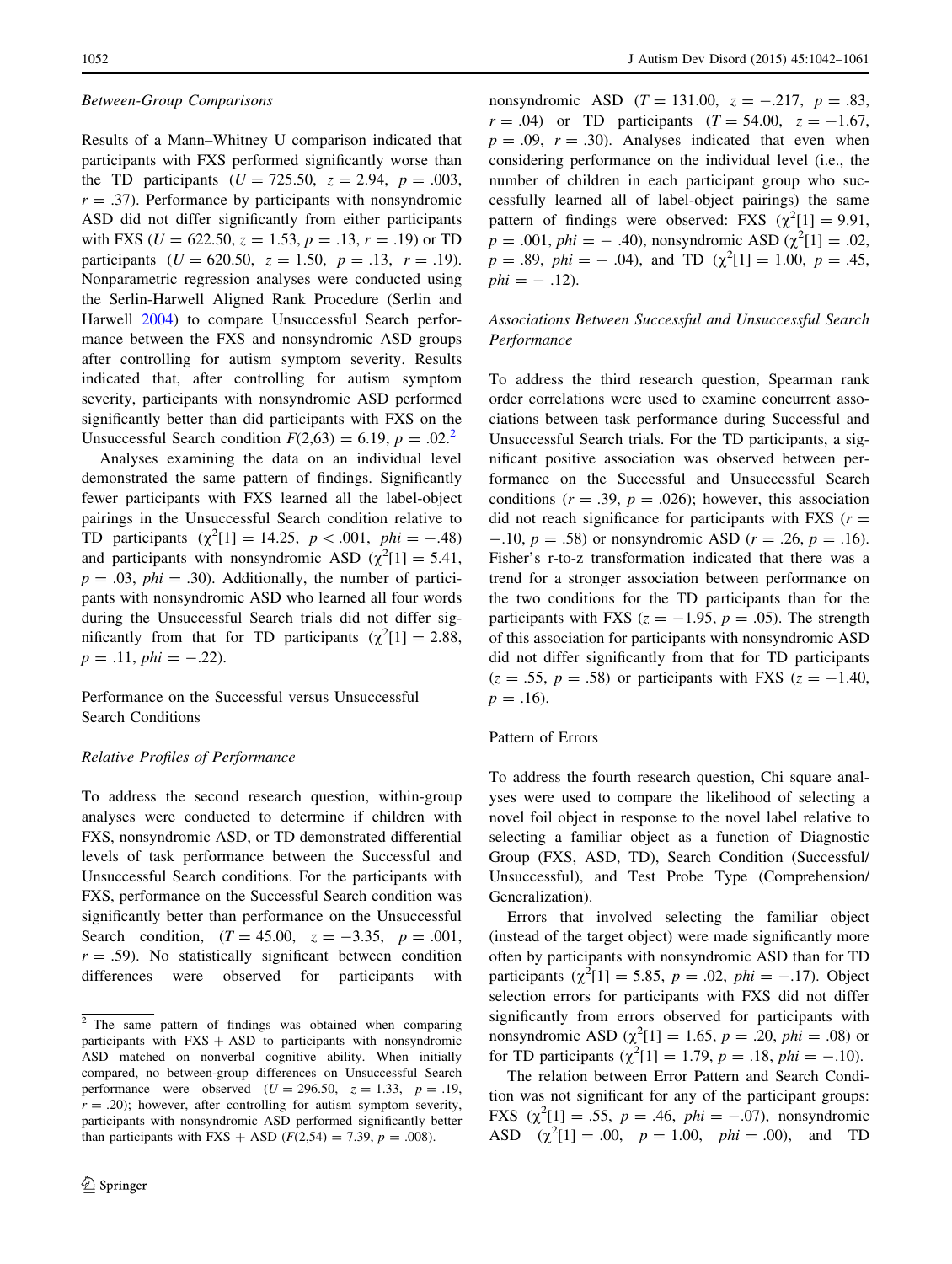#### Between-Group Comparisons

Results of a Mann–Whitney U comparison indicated that participants with FXS performed significantly worse than the TD participants ( $U = 725.50$ ,  $z = 2.94$ ,  $p = .003$ ,  $r = .37$ ). Performance by participants with nonsyndromic ASD did not differ significantly from either participants with FXS ( $U = 622.50$ ,  $z = 1.53$ ,  $p = .13$ ,  $r = .19$ ) or TD participants  $(U = 620.50, z = 1.50, p = .13, r = .19)$ . Nonparametric regression analyses were conducted using the Serlin-Harwell Aligned Rank Procedure (Serlin and Harwell [2004\)](#page-19-0) to compare Unsuccessful Search performance between the FXS and nonsyndromic ASD groups after controlling for autism symptom severity. Results indicated that, after controlling for autism symptom severity, participants with nonsyndromic ASD performed significantly better than did participants with FXS on the Unsuccessful Search condition  $F(2,63) = 6.19$ ,  $p = .02<sup>2</sup>$ 

Analyses examining the data on an individual level demonstrated the same pattern of findings. Significantly fewer participants with FXS learned all the label-object pairings in the Unsuccessful Search condition relative to TD participants  $(\chi^2[1] = 14.25, p < .001, phi = -.48)$ and participants with nonsyndromic ASD  $(\chi^2[1] = 5.41,$  $p = .03$ ,  $phi = .30$ . Additionally, the number of participants with nonsyndromic ASD who learned all four words during the Unsuccessful Search trials did not differ significantly from that for TD participants  $(\chi^2[1] = 2.88,$  $p = .11, \, phi = -.22$ ).

Performance on the Successful versus Unsuccessful Search Conditions

## Relative Profiles of Performance

To address the second research question, within-group analyses were conducted to determine if children with FXS, nonsyndromic ASD, or TD demonstrated differential levels of task performance between the Successful and Unsuccessful Search conditions. For the participants with FXS, performance on the Successful Search condition was significantly better than performance on the Unsuccessful Search condition,  $(T = 45.00, z = -3.35, p = .001,$  $r = .59$ ). No statistically significant between condition differences were observed for participants with

nonsyndromic ASD  $(T = 131.00, z = -.217, p = .83,$  $r = .04$ ) or TD participants (T = 54.00,  $z = -1.67$ ,  $p = .09$ ,  $r = .30$ ). Analyses indicated that even when considering performance on the individual level (i.e., the number of children in each participant group who successfully learned all of label-object pairings) the same pattern of findings were observed: FXS  $(\chi^2[1] = 9.91,$  $p = .001$ ,  $phi = -.40$ ), nonsyndromic ASD ( $\chi^2[1] = .02$ ,  $p = .89$ ,  $phi = -.04$ ), and TD ( $\chi^2[1] = 1.00$ ,  $p = .45$ ,  $phi = - .12$ ).

# Associations Between Successful and Unsuccessful Search Performance

To address the third research question, Spearman rank order correlations were used to examine concurrent associations between task performance during Successful and Unsuccessful Search trials. For the TD participants, a significant positive association was observed between performance on the Successful and Unsuccessful Search conditions ( $r = .39$ ,  $p = .026$ ); however, this association did not reach significance for participants with FXS ( $r =$  $-.10, p = .58$  or nonsyndromic ASD ( $r = .26, p = .16$ ). Fisher's r-to-z transformation indicated that there was a trend for a stronger association between performance on the two conditions for the TD participants than for the participants with FXS ( $z = -1.95$ ,  $p = .05$ ). The strength of this association for participants with nonsyndromic ASD did not differ significantly from that for TD participants  $(z = .55, p = .58)$  or participants with FXS  $(z = -1.40,$  $p = .16$ ).

# Pattern of Errors

To address the fourth research question, Chi square analyses were used to compare the likelihood of selecting a novel foil object in response to the novel label relative to selecting a familiar object as a function of Diagnostic Group (FXS, ASD, TD), Search Condition (Successful/ Unsuccessful), and Test Probe Type (Comprehension/ Generalization).

Errors that involved selecting the familiar object (instead of the target object) were made significantly more often by participants with nonsyndromic ASD than for TD participants ( $\chi^2[1] = 5.85$ ,  $p = .02$ ,  $phi = -.17$ ). Object selection errors for participants with FXS did not differ significantly from errors observed for participants with nonsyndromic ASD ( $\chi^2[1] = 1.65$ ,  $p = .20$ ,  $phi = .08$ ) or for TD participants ( $\chi^2[1] = 1.79$ ,  $p = .18$ ,  $phi = -.10$ ).

The relation between Error Pattern and Search Condition was not significant for any of the participant groups: FXS  $(\chi^2[1] = .55, p = .46, phi = -.07)$ , nonsyndromic ASD  $(\chi^2[1] = .00, p = 1.00, phi = .00)$ , and TD

 $\sqrt{2}$  The same pattern of findings was obtained when comparing participants with  $FXS + ASD$  to participants with nonsyndromic ASD matched on nonverbal cognitive ability. When initially compared, no between-group differences on Unsuccessful Search performance were observed  $(U = 296.50, z = 1.33, p = .19,$  $r = .20$ ); however, after controlling for autism symptom severity, participants with nonsyndromic ASD performed significantly better than participants with FXS + ASD ( $F(2,54) = 7.39$ ,  $p = .008$ ).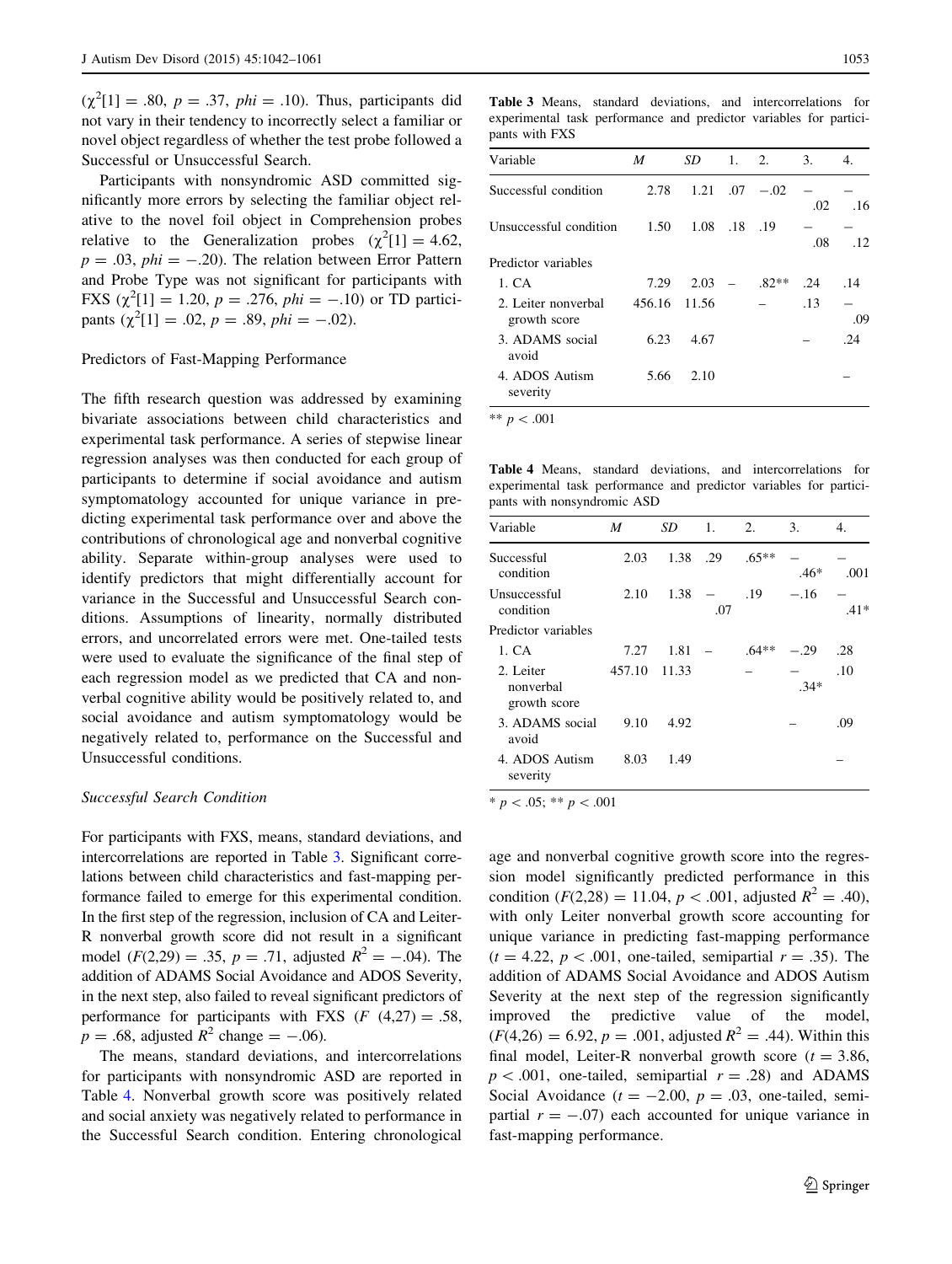<span id="page-11-0"></span> $(\chi^2[1] = .80, p = .37, \, \text{phi} = .10)$ . Thus, participants did not vary in their tendency to incorrectly select a familiar or novel object regardless of whether the test probe followed a Successful or Unsuccessful Search.

Participants with nonsyndromic ASD committed significantly more errors by selecting the familiar object relative to the novel foil object in Comprehension probes relative to the Generalization probes  $(\chi^2[1] = 4.62)$ ,  $p = .03$ ,  $phi = -.20$ ). The relation between Error Pattern and Probe Type was not significant for participants with FXS  $(\chi^2[1] = 1.20, p = .276, \, \rho h i = -.10)$  or TD participants  $(\chi^2[1] = .02, p = .89, phi = -.02)$ .

# Predictors of Fast-Mapping Performance

The fifth research question was addressed by examining bivariate associations between child characteristics and experimental task performance. A series of stepwise linear regression analyses was then conducted for each group of participants to determine if social avoidance and autism symptomatology accounted for unique variance in predicting experimental task performance over and above the contributions of chronological age and nonverbal cognitive ability. Separate within-group analyses were used to identify predictors that might differentially account for variance in the Successful and Unsuccessful Search conditions. Assumptions of linearity, normally distributed errors, and uncorrelated errors were met. One-tailed tests were used to evaluate the significance of the final step of each regression model as we predicted that CA and nonverbal cognitive ability would be positively related to, and social avoidance and autism symptomatology would be negatively related to, performance on the Successful and Unsuccessful conditions.

#### Successful Search Condition

For participants with FXS, means, standard deviations, and intercorrelations are reported in Table 3. Significant correlations between child characteristics and fast-mapping performance failed to emerge for this experimental condition. In the first step of the regression, inclusion of CA and Leiter-R nonverbal growth score did not result in a significant model ( $F(2,29) = .35$ ,  $p = .71$ , adjusted  $R^2 = -.04$ ). The addition of ADAMS Social Avoidance and ADOS Severity, in the next step, also failed to reveal significant predictors of performance for participants with FXS  $(F (4,27) = .58)$ ,  $p = .68$ , adjusted  $R^2$  change  $= -.06$ ).

The means, standard deviations, and intercorrelations for participants with nonsyndromic ASD are reported in Table 4. Nonverbal growth score was positively related and social anxiety was negatively related to performance in the Successful Search condition. Entering chronological

Table 3 Means, standard deviations, and intercorrelations for experimental task performance and predictor variables for participants with FXS

| Variable                            | M      | SD           | 1.  | 2.      | 3.  | 4.  |
|-------------------------------------|--------|--------------|-----|---------|-----|-----|
| Successful condition                | 2.78   | 1.21         | .07 | $-.02$  | .02 | .16 |
| Unsuccessful condition              | 1.50   | 1.08 .18 .19 |     |         | .08 | .12 |
| Predictor variables                 |        |              |     |         |     |     |
| 1. CA                               | 7.29   | 2.03         |     | $.82**$ | .24 | .14 |
| 2. Leiter nonverbal<br>growth score | 456.16 | 11.56        |     |         | .13 | .09 |
| 3. ADAMS social<br>avoid            | 6.23   | 4.67         |     |         |     | .24 |
| 4. ADOS Autism<br>severity          | 5.66   | 2.10         |     |         |     |     |

\*\*  $p < .001$ 

Table 4 Means, standard deviations, and intercorrelations for experimental task performance and predictor variables for participants with nonsyndromic ASD

| Variable                               | M      | SD    | 1.  | 2.      | 3.     | 4.     |
|----------------------------------------|--------|-------|-----|---------|--------|--------|
| Successful<br>condition                | 2.03   | 1.38  | .29 | $.65**$ | $.46*$ | .001   |
| Unsuccessful<br>condition              | 2.10   | 1.38  | .07 | .19     | $-.16$ | $.41*$ |
| Predictor variables                    |        |       |     |         |        |        |
| 1. CA                                  | 7.27   | 1.81  |     | $.64**$ | $-.29$ | .28    |
| 2. Leiter<br>nonverbal<br>growth score | 457.10 | 11.33 |     |         | $.34*$ | .10    |
| 3. ADAMS social<br>avoid               | 9.10   | 4.92  |     |         |        | .09    |
| 4. ADOS Autism<br>severity             | 8.03   | 1.49  |     |         |        |        |

\*  $p < .05;$  \*\*  $p < .001$ 

age and nonverbal cognitive growth score into the regression model significantly predicted performance in this condition ( $F(2,28) = 11.04$ ,  $p < .001$ , adjusted  $R^2 = .40$ ), with only Leiter nonverbal growth score accounting for unique variance in predicting fast-mapping performance  $(t = 4.22, p < .001,$  one-tailed, semipartial  $r = .35$ ). The addition of ADAMS Social Avoidance and ADOS Autism Severity at the next step of the regression significantly improved the predictive value of the model,  $(F(4,26) = 6.92, p = .001,$  adjusted  $R^2 = .44$ ). Within this final model, Leiter-R nonverbal growth score ( $t = 3.86$ ,  $p < .001$ , one-tailed, semipartial  $r = .28$ ) and ADAMS Social Avoidance ( $t = -2.00$ ,  $p = .03$ , one-tailed, semipartial  $r = -.07$ ) each accounted for unique variance in fast-mapping performance.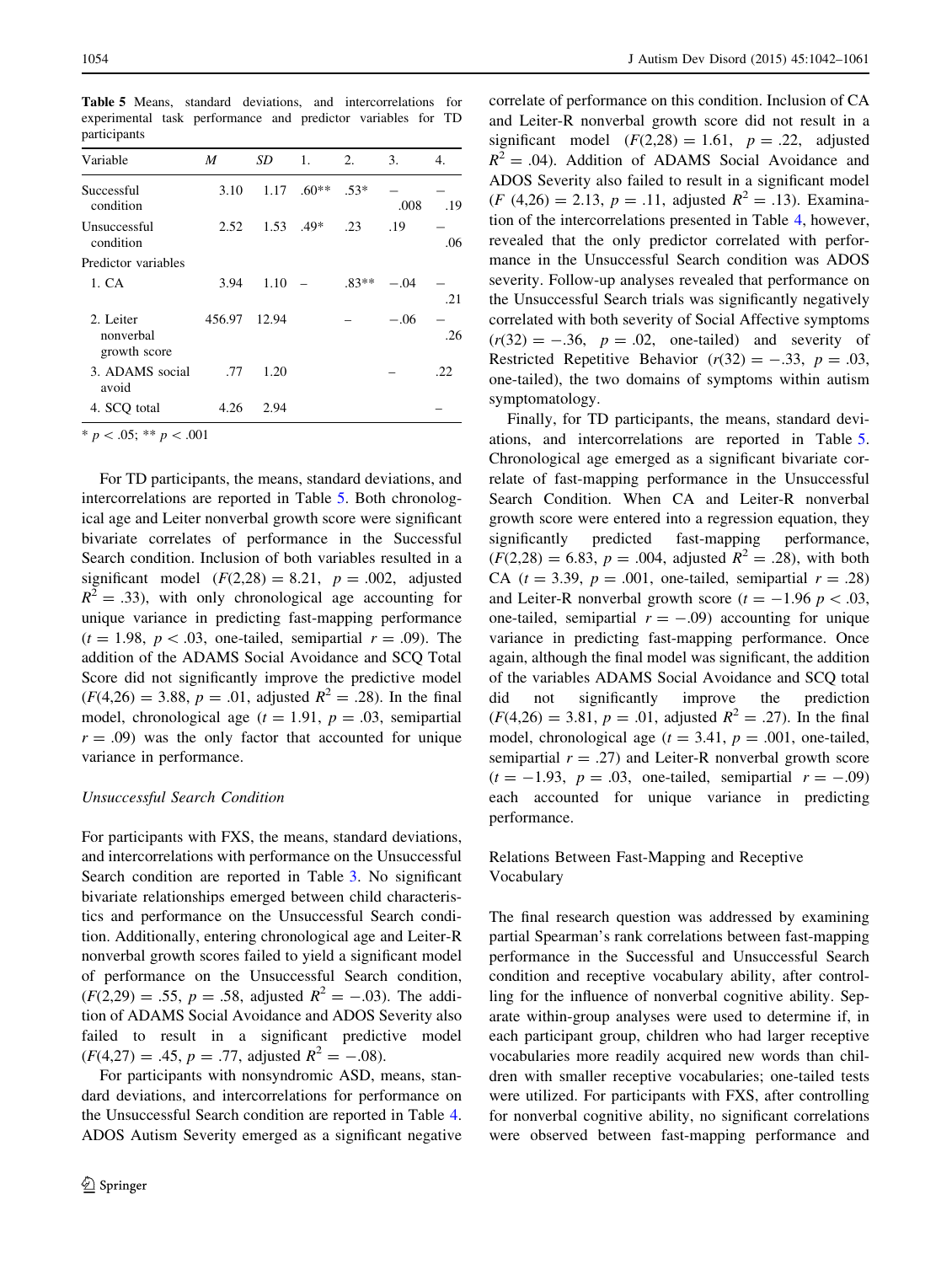| Variable                               | M      | SD    | 1.      | 2.      | 3.     | 4.  |
|----------------------------------------|--------|-------|---------|---------|--------|-----|
| Successful<br>condition                | 3.10   | 1.17  | $.60**$ | $.53*$  | .008   | .19 |
| Unsuccessful<br>condition              | 2.52   | 1.53  | $.49*$  | .23     | .19    | .06 |
| Predictor variables                    |        |       |         |         |        |     |
| 1. CA                                  | 3.94   | 1.10  |         | $.83**$ | $-.04$ | .21 |
| 2. Leiter<br>nonverbal<br>growth score | 456.97 | 12.94 |         |         | $-.06$ | .26 |
| 3. ADAMS social<br>avoid               | .77    | 1.20  |         |         |        | .22 |
| 4. SCQ total                           | 4.26   | 2.94  |         |         |        |     |

Table 5 Means, standard deviations, and intercorrelations for experimental task performance and predictor variables for TD participants

\*  $p$  < .05; \*\*  $p$  < .001

For TD participants, the means, standard deviations, and intercorrelations are reported in Table 5. Both chronological age and Leiter nonverbal growth score were significant bivariate correlates of performance in the Successful Search condition. Inclusion of both variables resulted in a significant model  $(F(2,28) = 8.21, p = .002,$  adjusted  $R^2 = .33$ ), with only chronological age accounting for unique variance in predicting fast-mapping performance  $(t = 1.98, p < .03,$  one-tailed, semipartial  $r = .09$ ). The addition of the ADAMS Social Avoidance and SCQ Total Score did not significantly improve the predictive model  $(F(4,26) = 3.88, p = .01,$  adjusted  $R^2 = .28$ ). In the final model, chronological age ( $t = 1.91$ ,  $p = .03$ , semipartial  $r = .09$ ) was the only factor that accounted for unique variance in performance.

## Unsuccessful Search Condition

For participants with FXS, the means, standard deviations, and intercorrelations with performance on the Unsuccessful Search condition are reported in Table [3.](#page-11-0) No significant bivariate relationships emerged between child characteristics and performance on the Unsuccessful Search condition. Additionally, entering chronological age and Leiter-R nonverbal growth scores failed to yield a significant model of performance on the Unsuccessful Search condition,  $(F(2,29) = .55, p = .58,$  adjusted  $R^2 = -.03$ ). The addition of ADAMS Social Avoidance and ADOS Severity also failed to result in a significant predictive model  $(F(4,27) = .45, p = .77,$  adjusted  $R^2 = -.08$ ).

For participants with nonsyndromic ASD, means, standard deviations, and intercorrelations for performance on the Unsuccessful Search condition are reported in Table [4.](#page-11-0) ADOS Autism Severity emerged as a significant negative correlate of performance on this condition. Inclusion of CA and Leiter-R nonverbal growth score did not result in a significant model  $(F(2,28) = 1.61, p = .22, \text{ adjusted}$  $R^2 = .04$ ). Addition of ADAMS Social Avoidance and ADOS Severity also failed to result in a significant model  $(F (4,26) = 2.13, p = .11, \text{ adjusted } R^2 = .13).$  Examination of the intercorrelations presented in Table [4](#page-11-0), however, revealed that the only predictor correlated with performance in the Unsuccessful Search condition was ADOS severity. Follow-up analyses revealed that performance on the Unsuccessful Search trials was significantly negatively correlated with both severity of Social Affective symptoms  $(r(32) = -.36, p = .02,$  one-tailed) and severity of Restricted Repetitive Behavior  $(r(32) = -.33, p = .03,$ one-tailed), the two domains of symptoms within autism symptomatology.

Finally, for TD participants, the means, standard deviations, and intercorrelations are reported in Table 5. Chronological age emerged as a significant bivariate correlate of fast-mapping performance in the Unsuccessful Search Condition. When CA and Leiter-R nonverbal growth score were entered into a regression equation, they significantly predicted fast-mapping performance,  $(F(2,28) = 6.83, p = .004,$  adjusted  $R^2 = .28$ ), with both CA  $(t = 3.39, p = .001,$  one-tailed, semipartial  $r = .28$ ) and Leiter-R nonverbal growth score ( $t = -1.96$   $p < .03$ , one-tailed, semipartial  $r = -.09$ ) accounting for unique variance in predicting fast-mapping performance. Once again, although the final model was significant, the addition of the variables ADAMS Social Avoidance and SCQ total did not significantly improve the prediction  $(F(4,26) = 3.81, p = .01,$  adjusted  $R^2 = .27$ ). In the final model, chronological age ( $t = 3.41$ ,  $p = .001$ , one-tailed, semipartial  $r = .27$ ) and Leiter-R nonverbal growth score  $(t = -1.93, p = .03,$  one-tailed, semipartial  $r = -.09$ ) each accounted for unique variance in predicting performance.

# Relations Between Fast-Mapping and Receptive Vocabulary

The final research question was addressed by examining partial Spearman's rank correlations between fast-mapping performance in the Successful and Unsuccessful Search condition and receptive vocabulary ability, after controlling for the influence of nonverbal cognitive ability. Separate within-group analyses were used to determine if, in each participant group, children who had larger receptive vocabularies more readily acquired new words than children with smaller receptive vocabularies; one-tailed tests were utilized. For participants with FXS, after controlling for nonverbal cognitive ability, no significant correlations were observed between fast-mapping performance and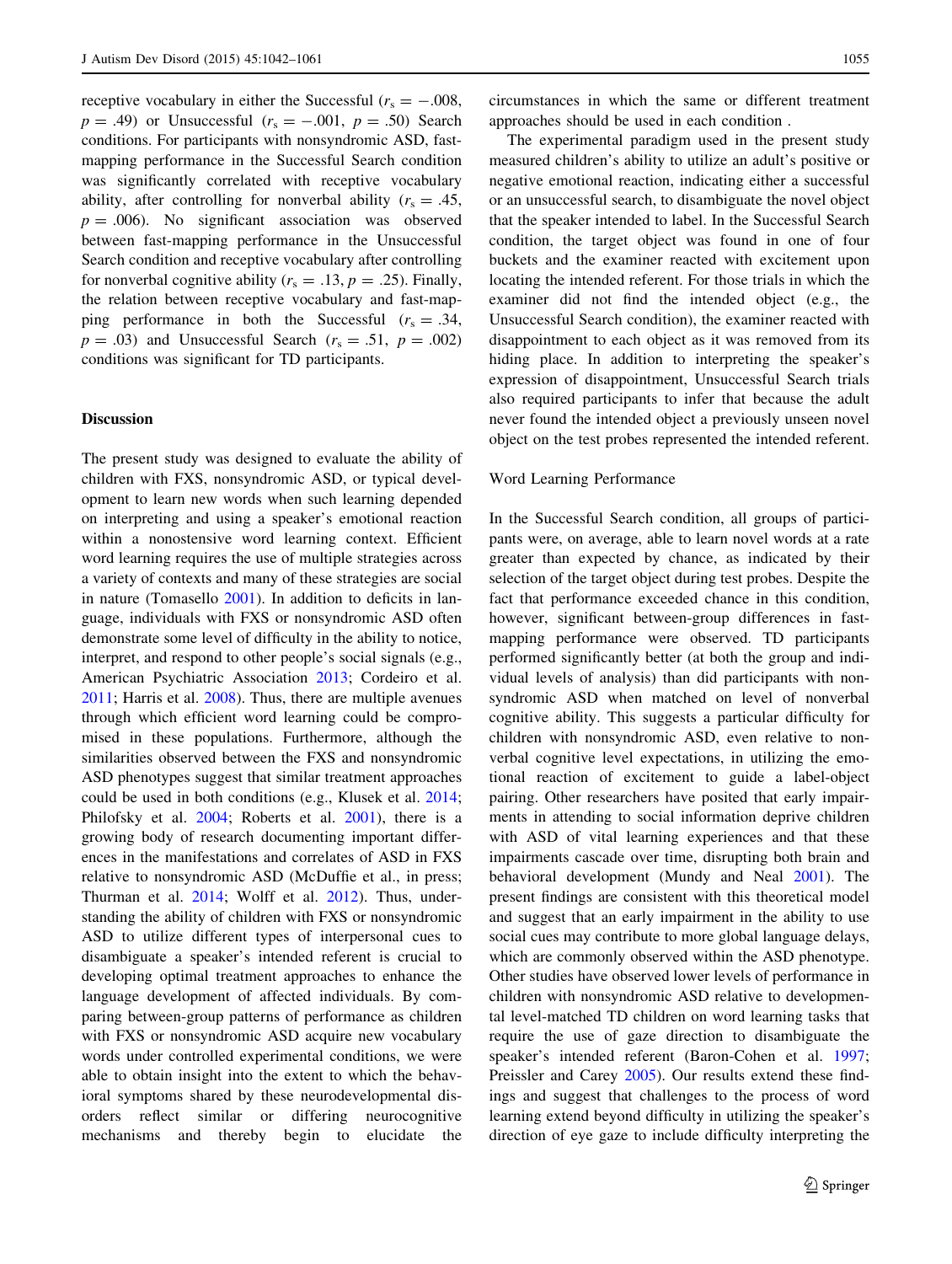receptive vocabulary in either the Successful ( $r_s = -.008$ ,  $p = .49$ ) or Unsuccessful  $(r<sub>s</sub> = -.001, p = .50)$  Search conditions. For participants with nonsyndromic ASD, fastmapping performance in the Successful Search condition was significantly correlated with receptive vocabulary ability, after controlling for nonverbal ability ( $r_s = .45$ ,  $p = .006$ ). No significant association was observed between fast-mapping performance in the Unsuccessful Search condition and receptive vocabulary after controlling for nonverbal cognitive ability ( $r_s = .13$ ,  $p = .25$ ). Finally, the relation between receptive vocabulary and fast-mapping performance in both the Successful ( $r_s = .34$ ,  $p = .03$ ) and Unsuccessful Search ( $r_s = .51$ ,  $p = .002$ ) conditions was significant for TD participants.

# Discussion

The present study was designed to evaluate the ability of children with FXS, nonsyndromic ASD, or typical development to learn new words when such learning depended on interpreting and using a speaker's emotional reaction within a nonostensive word learning context. Efficient word learning requires the use of multiple strategies across a variety of contexts and many of these strategies are social in nature (Tomasello [2001](#page-19-0)). In addition to deficits in language, individuals with FXS or nonsyndromic ASD often demonstrate some level of difficulty in the ability to notice, interpret, and respond to other people's social signals (e.g., American Psychiatric Association [2013;](#page-17-0) Cordeiro et al. [2011;](#page-18-0) Harris et al. [2008\)](#page-18-0). Thus, there are multiple avenues through which efficient word learning could be compromised in these populations. Furthermore, although the similarities observed between the FXS and nonsyndromic ASD phenotypes suggest that similar treatment approaches could be used in both conditions (e.g., Klusek et al. [2014](#page-18-0); Philofsky et al. [2004;](#page-19-0) Roberts et al. [2001\)](#page-19-0), there is a growing body of research documenting important differences in the manifestations and correlates of ASD in FXS relative to nonsyndromic ASD (McDuffie et al., in press; Thurman et al. [2014](#page-19-0); Wolff et al. [2012](#page-19-0)). Thus, understanding the ability of children with FXS or nonsyndromic ASD to utilize different types of interpersonal cues to disambiguate a speaker's intended referent is crucial to developing optimal treatment approaches to enhance the language development of affected individuals. By comparing between-group patterns of performance as children with FXS or nonsyndromic ASD acquire new vocabulary words under controlled experimental conditions, we were able to obtain insight into the extent to which the behavioral symptoms shared by these neurodevelopmental disorders reflect similar or differing neurocognitive mechanisms and thereby begin to elucidate the circumstances in which the same or different treatment approaches should be used in each condition .

The experimental paradigm used in the present study measured children's ability to utilize an adult's positive or negative emotional reaction, indicating either a successful or an unsuccessful search, to disambiguate the novel object that the speaker intended to label. In the Successful Search condition, the target object was found in one of four buckets and the examiner reacted with excitement upon locating the intended referent. For those trials in which the examiner did not find the intended object (e.g., the Unsuccessful Search condition), the examiner reacted with disappointment to each object as it was removed from its hiding place. In addition to interpreting the speaker's expression of disappointment, Unsuccessful Search trials also required participants to infer that because the adult never found the intended object a previously unseen novel object on the test probes represented the intended referent.

#### Word Learning Performance

In the Successful Search condition, all groups of participants were, on average, able to learn novel words at a rate greater than expected by chance, as indicated by their selection of the target object during test probes. Despite the fact that performance exceeded chance in this condition, however, significant between-group differences in fastmapping performance were observed. TD participants performed significantly better (at both the group and individual levels of analysis) than did participants with nonsyndromic ASD when matched on level of nonverbal cognitive ability. This suggests a particular difficulty for children with nonsyndromic ASD, even relative to nonverbal cognitive level expectations, in utilizing the emotional reaction of excitement to guide a label-object pairing. Other researchers have posited that early impairments in attending to social information deprive children with ASD of vital learning experiences and that these impairments cascade over time, disrupting both brain and behavioral development (Mundy and Neal [2001\)](#page-19-0). The present findings are consistent with this theoretical model and suggest that an early impairment in the ability to use social cues may contribute to more global language delays, which are commonly observed within the ASD phenotype. Other studies have observed lower levels of performance in children with nonsyndromic ASD relative to developmental level-matched TD children on word learning tasks that require the use of gaze direction to disambiguate the speaker's intended referent (Baron-Cohen et al. [1997](#page-17-0); Preissler and Carey [2005\)](#page-19-0). Our results extend these findings and suggest that challenges to the process of word learning extend beyond difficulty in utilizing the speaker's direction of eye gaze to include difficulty interpreting the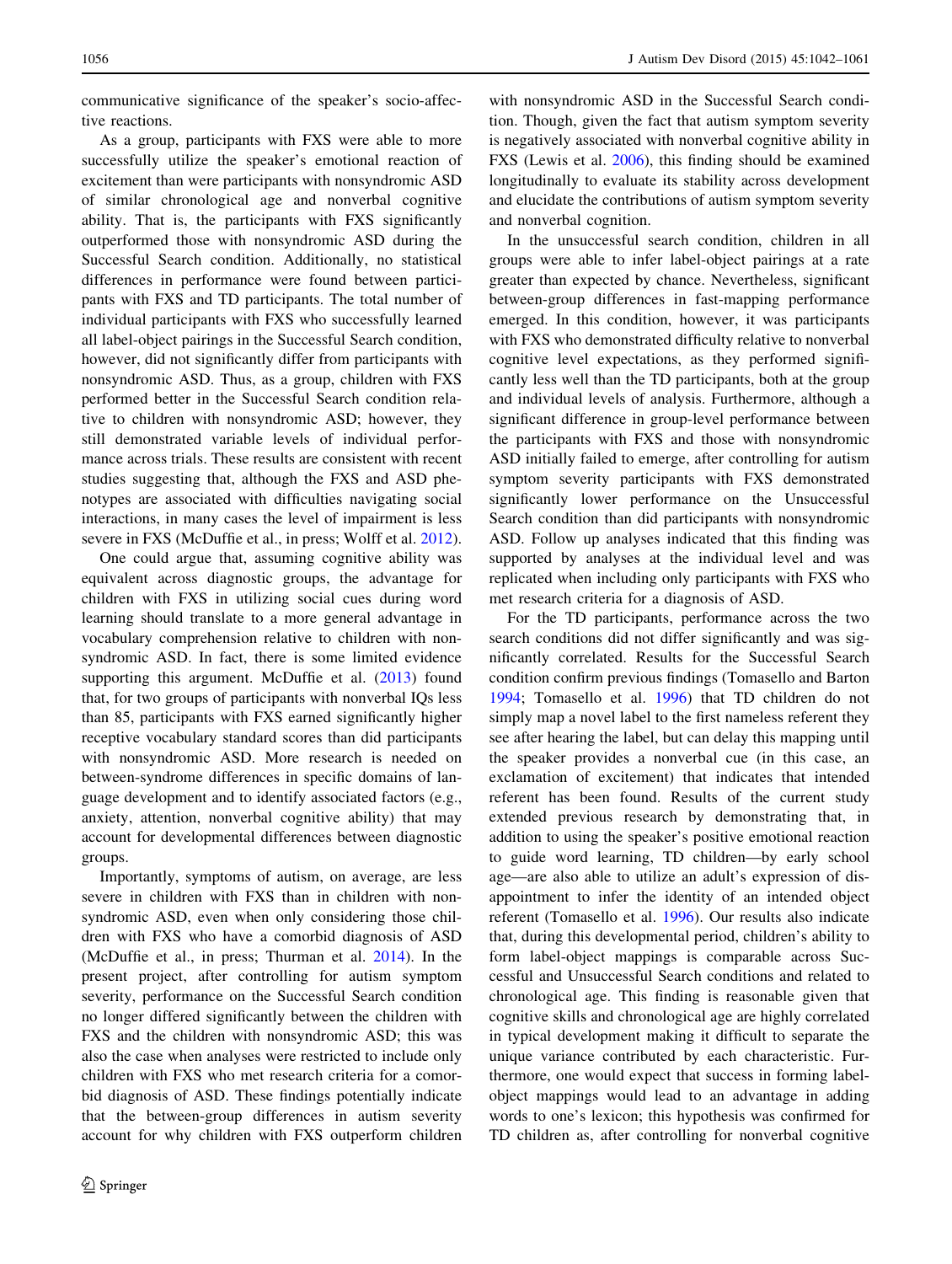communicative significance of the speaker's socio-affective reactions.

As a group, participants with FXS were able to more successfully utilize the speaker's emotional reaction of excitement than were participants with nonsyndromic ASD of similar chronological age and nonverbal cognitive ability. That is, the participants with FXS significantly outperformed those with nonsyndromic ASD during the Successful Search condition. Additionally, no statistical differences in performance were found between participants with FXS and TD participants. The total number of individual participants with FXS who successfully learned all label-object pairings in the Successful Search condition, however, did not significantly differ from participants with nonsyndromic ASD. Thus, as a group, children with FXS performed better in the Successful Search condition relative to children with nonsyndromic ASD; however, they still demonstrated variable levels of individual performance across trials. These results are consistent with recent studies suggesting that, although the FXS and ASD phenotypes are associated with difficulties navigating social interactions, in many cases the level of impairment is less severe in FXS (McDuffie et al., in press; Wolff et al. [2012](#page-19-0)).

One could argue that, assuming cognitive ability was equivalent across diagnostic groups, the advantage for children with FXS in utilizing social cues during word learning should translate to a more general advantage in vocabulary comprehension relative to children with nonsyndromic ASD. In fact, there is some limited evidence supporting this argument. McDuffie et al. ([2013\)](#page-19-0) found that, for two groups of participants with nonverbal IQs less than 85, participants with FXS earned significantly higher receptive vocabulary standard scores than did participants with nonsyndromic ASD. More research is needed on between-syndrome differences in specific domains of language development and to identify associated factors (e.g., anxiety, attention, nonverbal cognitive ability) that may account for developmental differences between diagnostic groups.

Importantly, symptoms of autism, on average, are less severe in children with FXS than in children with nonsyndromic ASD, even when only considering those children with FXS who have a comorbid diagnosis of ASD (McDuffie et al., in press; Thurman et al. [2014\)](#page-19-0). In the present project, after controlling for autism symptom severity, performance on the Successful Search condition no longer differed significantly between the children with FXS and the children with nonsyndromic ASD; this was also the case when analyses were restricted to include only children with FXS who met research criteria for a comorbid diagnosis of ASD. These findings potentially indicate that the between-group differences in autism severity account for why children with FXS outperform children

with nonsyndromic ASD in the Successful Search condition. Though, given the fact that autism symptom severity is negatively associated with nonverbal cognitive ability in FXS (Lewis et al. [2006](#page-18-0)), this finding should be examined longitudinally to evaluate its stability across development and elucidate the contributions of autism symptom severity and nonverbal cognition.

In the unsuccessful search condition, children in all groups were able to infer label-object pairings at a rate greater than expected by chance. Nevertheless, significant between-group differences in fast-mapping performance emerged. In this condition, however, it was participants with FXS who demonstrated difficulty relative to nonverbal cognitive level expectations, as they performed significantly less well than the TD participants, both at the group and individual levels of analysis. Furthermore, although a significant difference in group-level performance between the participants with FXS and those with nonsyndromic ASD initially failed to emerge, after controlling for autism symptom severity participants with FXS demonstrated significantly lower performance on the Unsuccessful Search condition than did participants with nonsyndromic ASD. Follow up analyses indicated that this finding was supported by analyses at the individual level and was replicated when including only participants with FXS who met research criteria for a diagnosis of ASD.

For the TD participants, performance across the two search conditions did not differ significantly and was significantly correlated. Results for the Successful Search condition confirm previous findings (Tomasello and Barton [1994](#page-19-0); Tomasello et al. [1996\)](#page-19-0) that TD children do not simply map a novel label to the first nameless referent they see after hearing the label, but can delay this mapping until the speaker provides a nonverbal cue (in this case, an exclamation of excitement) that indicates that intended referent has been found. Results of the current study extended previous research by demonstrating that, in addition to using the speaker's positive emotional reaction to guide word learning, TD children—by early school age—are also able to utilize an adult's expression of disappointment to infer the identity of an intended object referent (Tomasello et al. [1996](#page-19-0)). Our results also indicate that, during this developmental period, children's ability to form label-object mappings is comparable across Successful and Unsuccessful Search conditions and related to chronological age. This finding is reasonable given that cognitive skills and chronological age are highly correlated in typical development making it difficult to separate the unique variance contributed by each characteristic. Furthermore, one would expect that success in forming labelobject mappings would lead to an advantage in adding words to one's lexicon; this hypothesis was confirmed for TD children as, after controlling for nonverbal cognitive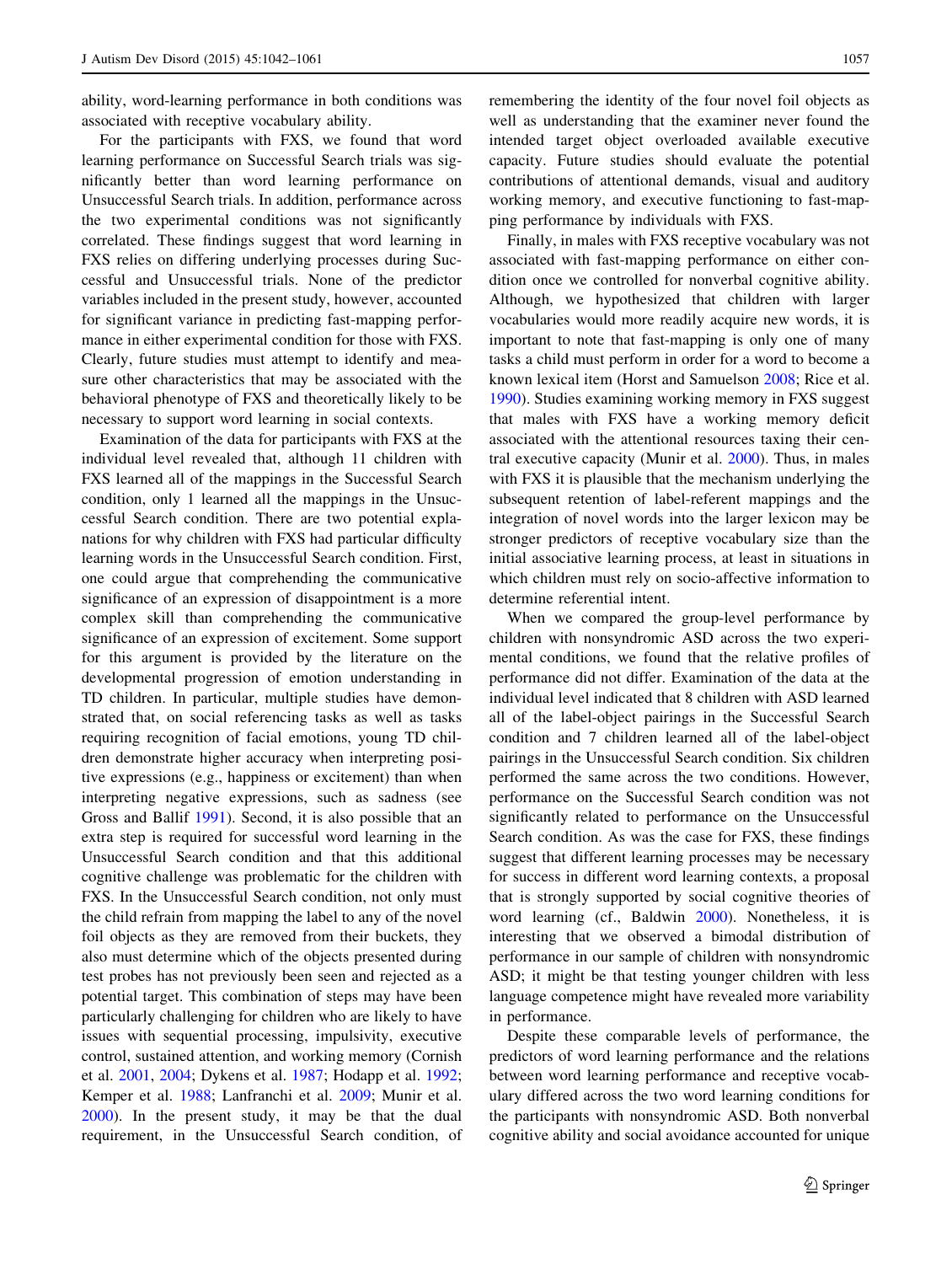ability, word-learning performance in both conditions was associated with receptive vocabulary ability.

For the participants with FXS, we found that word learning performance on Successful Search trials was significantly better than word learning performance on Unsuccessful Search trials. In addition, performance across the two experimental conditions was not significantly correlated. These findings suggest that word learning in FXS relies on differing underlying processes during Successful and Unsuccessful trials. None of the predictor variables included in the present study, however, accounted for significant variance in predicting fast-mapping performance in either experimental condition for those with FXS. Clearly, future studies must attempt to identify and measure other characteristics that may be associated with the behavioral phenotype of FXS and theoretically likely to be necessary to support word learning in social contexts.

Examination of the data for participants with FXS at the individual level revealed that, although 11 children with FXS learned all of the mappings in the Successful Search condition, only 1 learned all the mappings in the Unsuccessful Search condition. There are two potential explanations for why children with FXS had particular difficulty learning words in the Unsuccessful Search condition. First, one could argue that comprehending the communicative significance of an expression of disappointment is a more complex skill than comprehending the communicative significance of an expression of excitement. Some support for this argument is provided by the literature on the developmental progression of emotion understanding in TD children. In particular, multiple studies have demonstrated that, on social referencing tasks as well as tasks requiring recognition of facial emotions, young TD children demonstrate higher accuracy when interpreting positive expressions (e.g., happiness or excitement) than when interpreting negative expressions, such as sadness (see Gross and Ballif [1991\)](#page-18-0). Second, it is also possible that an extra step is required for successful word learning in the Unsuccessful Search condition and that this additional cognitive challenge was problematic for the children with FXS. In the Unsuccessful Search condition, not only must the child refrain from mapping the label to any of the novel foil objects as they are removed from their buckets, they also must determine which of the objects presented during test probes has not previously been seen and rejected as a potential target. This combination of steps may have been particularly challenging for children who are likely to have issues with sequential processing, impulsivity, executive control, sustained attention, and working memory (Cornish et al. [2001](#page-18-0), [2004;](#page-18-0) Dykens et al. [1987;](#page-18-0) Hodapp et al. [1992](#page-18-0); Kemper et al. [1988](#page-18-0); Lanfranchi et al. [2009](#page-18-0); Munir et al. [2000\)](#page-19-0). In the present study, it may be that the dual requirement, in the Unsuccessful Search condition, of remembering the identity of the four novel foil objects as well as understanding that the examiner never found the intended target object overloaded available executive capacity. Future studies should evaluate the potential contributions of attentional demands, visual and auditory working memory, and executive functioning to fast-mapping performance by individuals with FXS.

Finally, in males with FXS receptive vocabulary was not associated with fast-mapping performance on either condition once we controlled for nonverbal cognitive ability. Although, we hypothesized that children with larger vocabularies would more readily acquire new words, it is important to note that fast-mapping is only one of many tasks a child must perform in order for a word to become a known lexical item (Horst and Samuelson [2008;](#page-18-0) Rice et al. [1990](#page-19-0)). Studies examining working memory in FXS suggest that males with FXS have a working memory deficit associated with the attentional resources taxing their central executive capacity (Munir et al. [2000](#page-19-0)). Thus, in males with FXS it is plausible that the mechanism underlying the subsequent retention of label-referent mappings and the integration of novel words into the larger lexicon may be stronger predictors of receptive vocabulary size than the initial associative learning process, at least in situations in which children must rely on socio-affective information to determine referential intent.

When we compared the group-level performance by children with nonsyndromic ASD across the two experimental conditions, we found that the relative profiles of performance did not differ. Examination of the data at the individual level indicated that 8 children with ASD learned all of the label-object pairings in the Successful Search condition and 7 children learned all of the label-object pairings in the Unsuccessful Search condition. Six children performed the same across the two conditions. However, performance on the Successful Search condition was not significantly related to performance on the Unsuccessful Search condition. As was the case for FXS, these findings suggest that different learning processes may be necessary for success in different word learning contexts, a proposal that is strongly supported by social cognitive theories of word learning (cf., Baldwin [2000](#page-17-0)). Nonetheless, it is interesting that we observed a bimodal distribution of performance in our sample of children with nonsyndromic ASD; it might be that testing younger children with less language competence might have revealed more variability in performance.

Despite these comparable levels of performance, the predictors of word learning performance and the relations between word learning performance and receptive vocabulary differed across the two word learning conditions for the participants with nonsyndromic ASD. Both nonverbal cognitive ability and social avoidance accounted for unique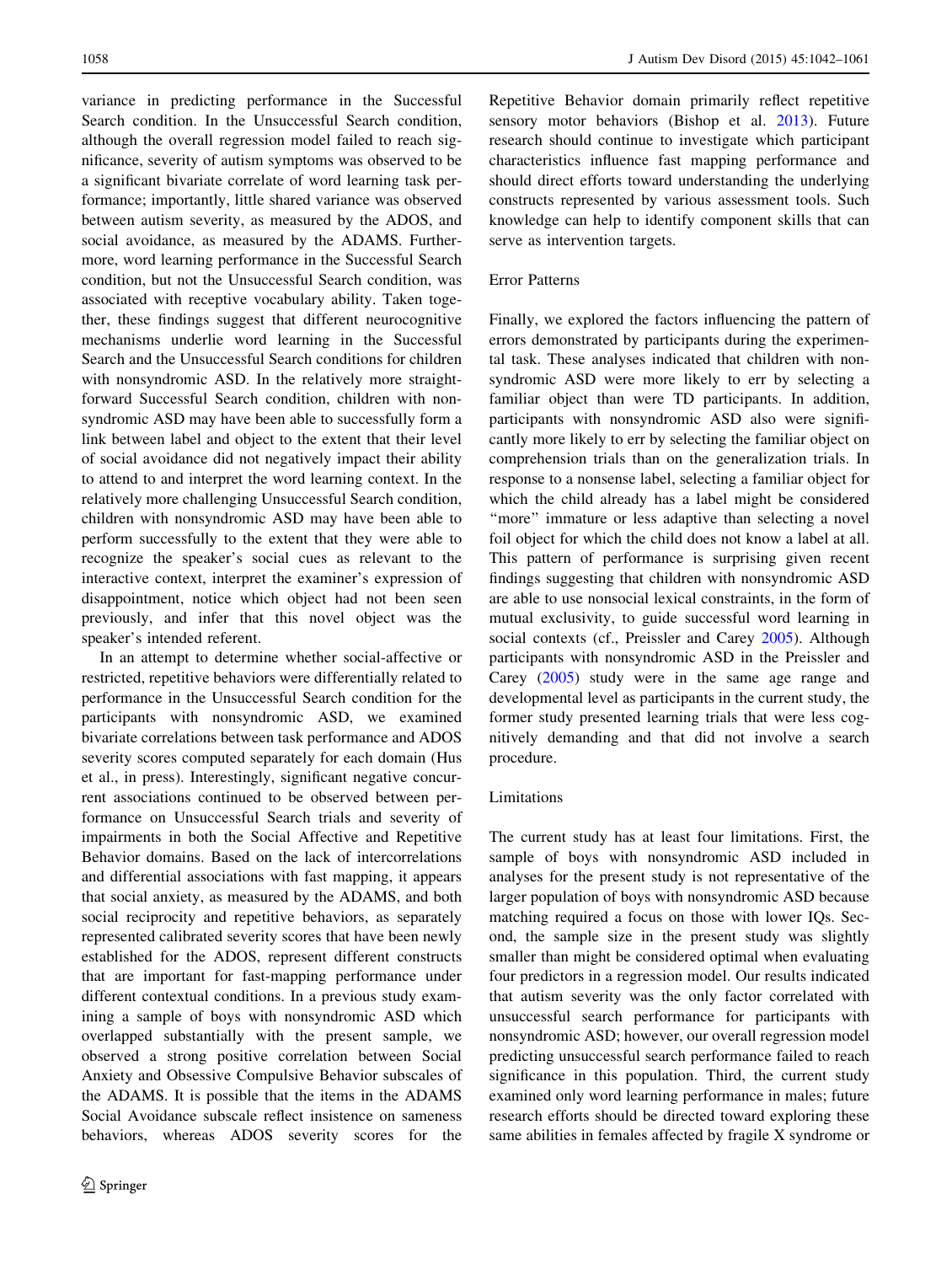variance in predicting performance in the Successful Search condition. In the Unsuccessful Search condition, although the overall regression model failed to reach significance, severity of autism symptoms was observed to be a significant bivariate correlate of word learning task performance; importantly, little shared variance was observed between autism severity, as measured by the ADOS, and social avoidance, as measured by the ADAMS. Furthermore, word learning performance in the Successful Search condition, but not the Unsuccessful Search condition, was associated with receptive vocabulary ability. Taken together, these findings suggest that different neurocognitive mechanisms underlie word learning in the Successful Search and the Unsuccessful Search conditions for children with nonsyndromic ASD. In the relatively more straightforward Successful Search condition, children with nonsyndromic ASD may have been able to successfully form a link between label and object to the extent that their level of social avoidance did not negatively impact their ability to attend to and interpret the word learning context. In the relatively more challenging Unsuccessful Search condition, children with nonsyndromic ASD may have been able to perform successfully to the extent that they were able to recognize the speaker's social cues as relevant to the interactive context, interpret the examiner's expression of disappointment, notice which object had not been seen previously, and infer that this novel object was the speaker's intended referent.

In an attempt to determine whether social-affective or restricted, repetitive behaviors were differentially related to performance in the Unsuccessful Search condition for the participants with nonsyndromic ASD, we examined bivariate correlations between task performance and ADOS severity scores computed separately for each domain (Hus et al., in press). Interestingly, significant negative concurrent associations continued to be observed between performance on Unsuccessful Search trials and severity of impairments in both the Social Affective and Repetitive Behavior domains. Based on the lack of intercorrelations and differential associations with fast mapping, it appears that social anxiety, as measured by the ADAMS, and both social reciprocity and repetitive behaviors, as separately represented calibrated severity scores that have been newly established for the ADOS, represent different constructs that are important for fast-mapping performance under different contextual conditions. In a previous study examining a sample of boys with nonsyndromic ASD which overlapped substantially with the present sample, we observed a strong positive correlation between Social Anxiety and Obsessive Compulsive Behavior subscales of the ADAMS. It is possible that the items in the ADAMS Social Avoidance subscale reflect insistence on sameness behaviors, whereas ADOS severity scores for the

Repetitive Behavior domain primarily reflect repetitive sensory motor behaviors (Bishop et al. [2013\)](#page-18-0). Future research should continue to investigate which participant characteristics influence fast mapping performance and should direct efforts toward understanding the underlying constructs represented by various assessment tools. Such knowledge can help to identify component skills that can serve as intervention targets.

# Error Patterns

Finally, we explored the factors influencing the pattern of errors demonstrated by participants during the experimental task. These analyses indicated that children with nonsyndromic ASD were more likely to err by selecting a familiar object than were TD participants. In addition, participants with nonsyndromic ASD also were significantly more likely to err by selecting the familiar object on comprehension trials than on the generalization trials. In response to a nonsense label, selecting a familiar object for which the child already has a label might be considered "more" immature or less adaptive than selecting a novel foil object for which the child does not know a label at all. This pattern of performance is surprising given recent findings suggesting that children with nonsyndromic ASD are able to use nonsocial lexical constraints, in the form of mutual exclusivity, to guide successful word learning in social contexts (cf., Preissler and Carey [2005\)](#page-19-0). Although participants with nonsyndromic ASD in the Preissler and Carey ([2005](#page-19-0)) study were in the same age range and developmental level as participants in the current study, the former study presented learning trials that were less cognitively demanding and that did not involve a search procedure.

### Limitations

The current study has at least four limitations. First, the sample of boys with nonsyndromic ASD included in analyses for the present study is not representative of the larger population of boys with nonsyndromic ASD because matching required a focus on those with lower IQs. Second, the sample size in the present study was slightly smaller than might be considered optimal when evaluating four predictors in a regression model. Our results indicated that autism severity was the only factor correlated with unsuccessful search performance for participants with nonsyndromic ASD; however, our overall regression model predicting unsuccessful search performance failed to reach significance in this population. Third, the current study examined only word learning performance in males; future research efforts should be directed toward exploring these same abilities in females affected by fragile X syndrome or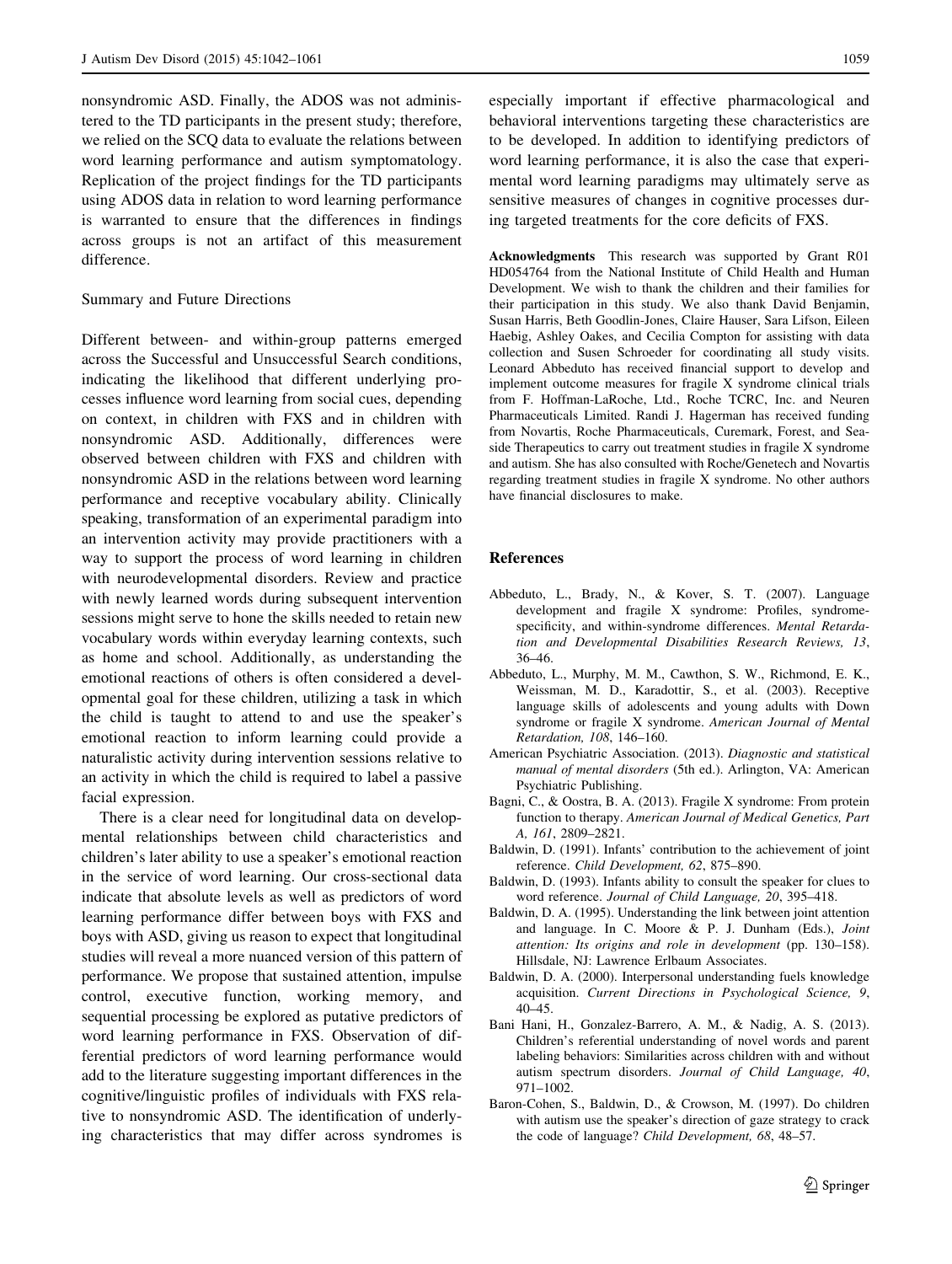<span id="page-17-0"></span>nonsyndromic ASD. Finally, the ADOS was not administered to the TD participants in the present study; therefore, we relied on the SCQ data to evaluate the relations between word learning performance and autism symptomatology. Replication of the project findings for the TD participants using ADOS data in relation to word learning performance is warranted to ensure that the differences in findings across groups is not an artifact of this measurement difference.

# Summary and Future Directions

Different between- and within-group patterns emerged across the Successful and Unsuccessful Search conditions, indicating the likelihood that different underlying processes influence word learning from social cues, depending on context, in children with FXS and in children with nonsyndromic ASD. Additionally, differences were observed between children with FXS and children with nonsyndromic ASD in the relations between word learning performance and receptive vocabulary ability. Clinically speaking, transformation of an experimental paradigm into an intervention activity may provide practitioners with a way to support the process of word learning in children with neurodevelopmental disorders. Review and practice with newly learned words during subsequent intervention sessions might serve to hone the skills needed to retain new vocabulary words within everyday learning contexts, such as home and school. Additionally, as understanding the emotional reactions of others is often considered a developmental goal for these children, utilizing a task in which the child is taught to attend to and use the speaker's emotional reaction to inform learning could provide a naturalistic activity during intervention sessions relative to an activity in which the child is required to label a passive facial expression.

There is a clear need for longitudinal data on developmental relationships between child characteristics and children's later ability to use a speaker's emotional reaction in the service of word learning. Our cross-sectional data indicate that absolute levels as well as predictors of word learning performance differ between boys with FXS and boys with ASD, giving us reason to expect that longitudinal studies will reveal a more nuanced version of this pattern of performance. We propose that sustained attention, impulse control, executive function, working memory, and sequential processing be explored as putative predictors of word learning performance in FXS. Observation of differential predictors of word learning performance would add to the literature suggesting important differences in the cognitive/linguistic profiles of individuals with FXS relative to nonsyndromic ASD. The identification of underlying characteristics that may differ across syndromes is

especially important if effective pharmacological and behavioral interventions targeting these characteristics are to be developed. In addition to identifying predictors of word learning performance, it is also the case that experimental word learning paradigms may ultimately serve as sensitive measures of changes in cognitive processes during targeted treatments for the core deficits of FXS.

Acknowledgments This research was supported by Grant R01 HD054764 from the National Institute of Child Health and Human Development. We wish to thank the children and their families for their participation in this study. We also thank David Benjamin, Susan Harris, Beth Goodlin-Jones, Claire Hauser, Sara Lifson, Eileen Haebig, Ashley Oakes, and Cecilia Compton for assisting with data collection and Susen Schroeder for coordinating all study visits. Leonard Abbeduto has received financial support to develop and implement outcome measures for fragile X syndrome clinical trials from F. Hoffman-LaRoche, Ltd., Roche TCRC, Inc. and Neuren Pharmaceuticals Limited. Randi J. Hagerman has received funding from Novartis, Roche Pharmaceuticals, Curemark, Forest, and Seaside Therapeutics to carry out treatment studies in fragile X syndrome and autism. She has also consulted with Roche/Genetech and Novartis regarding treatment studies in fragile X syndrome. No other authors have financial disclosures to make.

# References

- Abbeduto, L., Brady, N., & Kover, S. T. (2007). Language development and fragile X syndrome: Profiles, syndromespecificity, and within-syndrome differences. Mental Retardation and Developmental Disabilities Research Reviews, 13, 36–46.
- Abbeduto, L., Murphy, M. M., Cawthon, S. W., Richmond, E. K., Weissman, M. D., Karadottir, S., et al. (2003). Receptive language skills of adolescents and young adults with Down syndrome or fragile X syndrome. American Journal of Mental Retardation, 108, 146–160.
- American Psychiatric Association. (2013). Diagnostic and statistical manual of mental disorders (5th ed.). Arlington, VA: American Psychiatric Publishing.
- Bagni, C., & Oostra, B. A. (2013). Fragile X syndrome: From protein function to therapy. American Journal of Medical Genetics, Part A, 161, 2809–2821.
- Baldwin, D. (1991). Infants' contribution to the achievement of joint reference. Child Development, 62, 875–890.
- Baldwin, D. (1993). Infants ability to consult the speaker for clues to word reference. Journal of Child Language, 20, 395–418.
- Baldwin, D. A. (1995). Understanding the link between joint attention and language. In C. Moore & P. J. Dunham (Eds.), Joint attention: Its origins and role in development (pp. 130–158). Hillsdale, NJ: Lawrence Erlbaum Associates.
- Baldwin, D. A. (2000). Interpersonal understanding fuels knowledge acquisition. Current Directions in Psychological Science, 9, 40–45.
- Bani Hani, H., Gonzalez-Barrero, A. M., & Nadig, A. S. (2013). Children's referential understanding of novel words and parent labeling behaviors: Similarities across children with and without autism spectrum disorders. Journal of Child Language, 40, 971–1002.
- Baron-Cohen, S., Baldwin, D., & Crowson, M. (1997). Do children with autism use the speaker's direction of gaze strategy to crack the code of language? Child Development, 68, 48–57.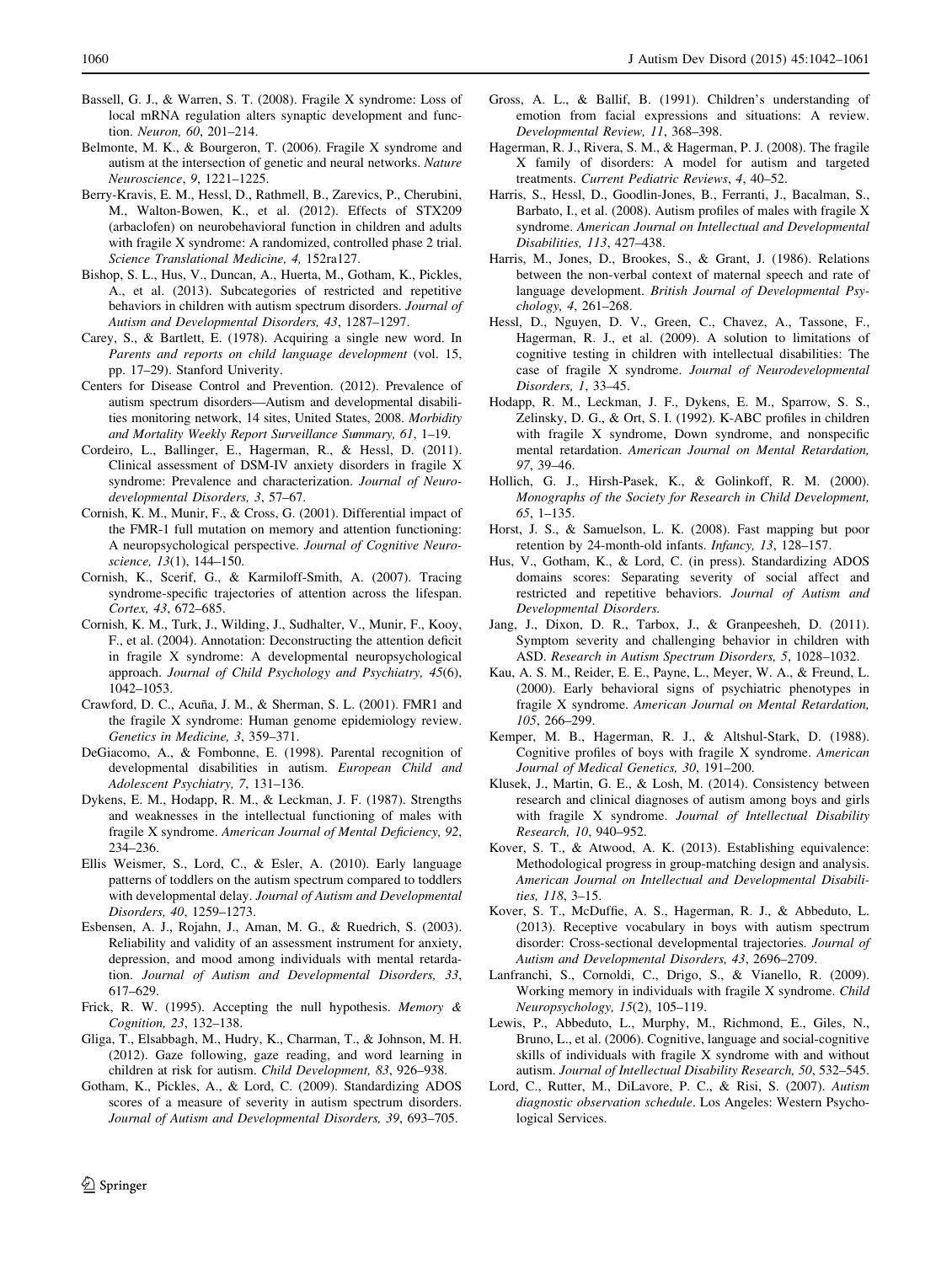- <span id="page-18-0"></span>Bassell, G. J., & Warren, S. T. (2008). Fragile X syndrome: Loss of local mRNA regulation alters synaptic development and function. Neuron, 60, 201–214.
- Belmonte, M. K., & Bourgeron, T. (2006). Fragile X syndrome and autism at the intersection of genetic and neural networks. Nature Neuroscience, 9, 1221–1225.
- Berry-Kravis, E. M., Hessl, D., Rathmell, B., Zarevics, P., Cherubini, M., Walton-Bowen, K., et al. (2012). Effects of STX209 (arbaclofen) on neurobehavioral function in children and adults with fragile X syndrome: A randomized, controlled phase 2 trial. Science Translational Medicine, 4, 152ra127.
- Bishop, S. L., Hus, V., Duncan, A., Huerta, M., Gotham, K., Pickles, A., et al. (2013). Subcategories of restricted and repetitive behaviors in children with autism spectrum disorders. Journal of Autism and Developmental Disorders, 43, 1287–1297.
- Carey, S., & Bartlett, E. (1978). Acquiring a single new word. In Parents and reports on child language development (vol. 15, pp. 17–29). Stanford Univerity.
- Centers for Disease Control and Prevention. (2012). Prevalence of autism spectrum disorders—Autism and developmental disabilities monitoring network, 14 sites, United States, 2008. Morbidity and Mortality Weekly Report Surveillance Summary, 61, 1–19.
- Cordeiro, L., Ballinger, E., Hagerman, R., & Hessl, D. (2011). Clinical assessment of DSM-IV anxiety disorders in fragile X syndrome: Prevalence and characterization. Journal of Neurodevelopmental Disorders, 3, 57–67.
- Cornish, K. M., Munir, F., & Cross, G. (2001). Differential impact of the FMR-1 full mutation on memory and attention functioning: A neuropsychological perspective. Journal of Cognitive Neuroscience, 13(1), 144–150.
- Cornish, K., Scerif, G., & Karmiloff-Smith, A. (2007). Tracing syndrome-specific trajectories of attention across the lifespan. Cortex, 43, 672–685.
- Cornish, K. M., Turk, J., Wilding, J., Sudhalter, V., Munir, F., Kooy, F., et al. (2004). Annotation: Deconstructing the attention deficit in fragile X syndrome: A developmental neuropsychological approach. Journal of Child Psychology and Psychiatry, 45(6), 1042–1053.
- Crawford, D. C., Acuña, J. M., & Sherman, S. L. (2001). FMR1 and the fragile X syndrome: Human genome epidemiology review. Genetics in Medicine, 3, 359–371.
- DeGiacomo, A., & Fombonne, E. (1998). Parental recognition of developmental disabilities in autism. European Child and Adolescent Psychiatry, 7, 131–136.
- Dykens, E. M., Hodapp, R. M., & Leckman, J. F. (1987). Strengths and weaknesses in the intellectual functioning of males with fragile X syndrome. American Journal of Mental Deficiency, 92, 234–236.
- Ellis Weismer, S., Lord, C., & Esler, A. (2010). Early language patterns of toddlers on the autism spectrum compared to toddlers with developmental delay. Journal of Autism and Developmental Disorders, 40, 1259–1273.
- Esbensen, A. J., Rojahn, J., Aman, M. G., & Ruedrich, S. (2003). Reliability and validity of an assessment instrument for anxiety, depression, and mood among individuals with mental retardation. Journal of Autism and Developmental Disorders, 33, 617–629.
- Frick, R. W. (1995). Accepting the null hypothesis. Memory & Cognition, 23, 132–138.
- Gliga, T., Elsabbagh, M., Hudry, K., Charman, T., & Johnson, M. H. (2012). Gaze following, gaze reading, and word learning in children at risk for autism. Child Development, 83, 926–938.
- Gotham, K., Pickles, A., & Lord, C. (2009). Standardizing ADOS scores of a measure of severity in autism spectrum disorders. Journal of Autism and Developmental Disorders, 39, 693–705.
- Gross, A. L., & Ballif, B. (1991). Children's understanding of emotion from facial expressions and situations: A review. Developmental Review, 11, 368–398.
- Hagerman, R. J., Rivera, S. M., & Hagerman, P. J. (2008). The fragile X family of disorders: A model for autism and targeted treatments. Current Pediatric Reviews, 4, 40–52.
- Harris, S., Hessl, D., Goodlin-Jones, B., Ferranti, J., Bacalman, S., Barbato, I., et al. (2008). Autism profiles of males with fragile X syndrome. American Journal on Intellectual and Developmental Disabilities, 113, 427–438.
- Harris, M., Jones, D., Brookes, S., & Grant, J. (1986). Relations between the non-verbal context of maternal speech and rate of language development. British Journal of Developmental Psychology, 4, 261–268.
- Hessl, D., Nguyen, D. V., Green, C., Chavez, A., Tassone, F., Hagerman, R. J., et al. (2009). A solution to limitations of cognitive testing in children with intellectual disabilities: The case of fragile X syndrome. Journal of Neurodevelopmental Disorders, 1, 33–45.
- Hodapp, R. M., Leckman, J. F., Dykens, E. M., Sparrow, S. S., Zelinsky, D. G., & Ort, S. I. (1992). K-ABC profiles in children with fragile X syndrome, Down syndrome, and nonspecific mental retardation. American Journal on Mental Retardation, 97, 39–46.
- Hollich, G. J., Hirsh-Pasek, K., & Golinkoff, R. M. (2000). Monographs of the Society for Research in Child Development, 65, 1–135.
- Horst, J. S., & Samuelson, L. K. (2008). Fast mapping but poor retention by 24-month-old infants. Infancy, 13, 128–157.
- Hus, V., Gotham, K., & Lord, C. (in press). Standardizing ADOS domains scores: Separating severity of social affect and restricted and repetitive behaviors. Journal of Autism and Developmental Disorders.
- Jang, J., Dixon, D. R., Tarbox, J., & Granpeesheh, D. (2011). Symptom severity and challenging behavior in children with ASD. Research in Autism Spectrum Disorders, 5, 1028–1032.
- Kau, A. S. M., Reider, E. E., Payne, L., Meyer, W. A., & Freund, L. (2000). Early behavioral signs of psychiatric phenotypes in fragile X syndrome. American Journal on Mental Retardation, 105, 266–299.
- Kemper, M. B., Hagerman, R. J., & Altshul-Stark, D. (1988). Cognitive profiles of boys with fragile X syndrome. American Journal of Medical Genetics, 30, 191–200.
- Klusek, J., Martin, G. E., & Losh, M. (2014). Consistency between research and clinical diagnoses of autism among boys and girls with fragile X syndrome. Journal of Intellectual Disability Research, 10, 940–952.
- Kover, S. T., & Atwood, A. K. (2013). Establishing equivalence: Methodological progress in group-matching design and analysis. American Journal on Intellectual and Developmental Disabilities, 118, 3–15.
- Kover, S. T., McDuffie, A. S., Hagerman, R. J., & Abbeduto, L. (2013). Receptive vocabulary in boys with autism spectrum disorder: Cross-sectional developmental trajectories. Journal of Autism and Developmental Disorders, 43, 2696–2709.
- Lanfranchi, S., Cornoldi, C., Drigo, S., & Vianello, R. (2009). Working memory in individuals with fragile X syndrome. Child Neuropsychology, 15(2), 105–119.
- Lewis, P., Abbeduto, L., Murphy, M., Richmond, E., Giles, N., Bruno, L., et al. (2006). Cognitive, language and social-cognitive skills of individuals with fragile X syndrome with and without autism. Journal of Intellectual Disability Research, 50, 532–545.
- Lord, C., Rutter, M., DiLavore, P. C., & Risi, S. (2007). Autism diagnostic observation schedule. Los Angeles: Western Psychological Services.